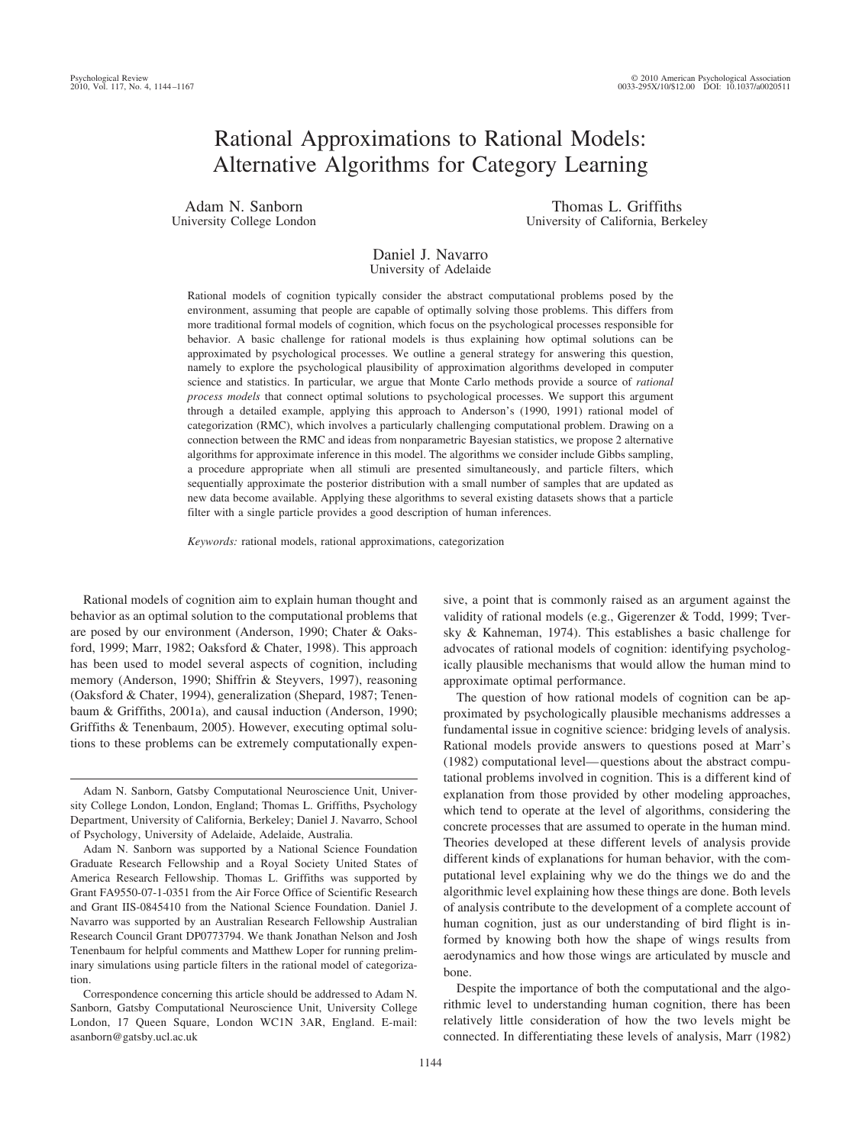# Rational Approximations to Rational Models: Alternative Algorithms for Category Learning

Adam N. Sanborn University College London

Thomas L. Griffiths University of California, Berkeley

#### Daniel J. Navarro University of Adelaide

Rational models of cognition typically consider the abstract computational problems posed by the environment, assuming that people are capable of optimally solving those problems. This differs from more traditional formal models of cognition, which focus on the psychological processes responsible for behavior. A basic challenge for rational models is thus explaining how optimal solutions can be approximated by psychological processes. We outline a general strategy for answering this question, namely to explore the psychological plausibility of approximation algorithms developed in computer science and statistics. In particular, we argue that Monte Carlo methods provide a source of *rational process models* that connect optimal solutions to psychological processes. We support this argument through a detailed example, applying this approach to Anderson's (1990, 1991) rational model of categorization (RMC), which involves a particularly challenging computational problem. Drawing on a connection between the RMC and ideas from nonparametric Bayesian statistics, we propose 2 alternative algorithms for approximate inference in this model. The algorithms we consider include Gibbs sampling, a procedure appropriate when all stimuli are presented simultaneously, and particle filters, which sequentially approximate the posterior distribution with a small number of samples that are updated as new data become available. Applying these algorithms to several existing datasets shows that a particle filter with a single particle provides a good description of human inferences.

*Keywords:* rational models, rational approximations, categorization

Rational models of cognition aim to explain human thought and behavior as an optimal solution to the computational problems that are posed by our environment (Anderson, 1990; Chater & Oaksford, 1999; Marr, 1982; Oaksford & Chater, 1998). This approach has been used to model several aspects of cognition, including memory (Anderson, 1990; Shiffrin & Steyvers, 1997), reasoning (Oaksford & Chater, 1994), generalization (Shepard, 1987; Tenenbaum & Griffiths, 2001a), and causal induction (Anderson, 1990; Griffiths & Tenenbaum, 2005). However, executing optimal solutions to these problems can be extremely computationally expen-

Correspondence concerning this article should be addressed to Adam N. Sanborn, Gatsby Computational Neuroscience Unit, University College London, 17 Queen Square, London WC1N 3AR, England. E-mail: asanborn@gatsby.ucl.ac.uk

sive, a point that is commonly raised as an argument against the validity of rational models (e.g., Gigerenzer & Todd, 1999; Tversky & Kahneman, 1974). This establishes a basic challenge for advocates of rational models of cognition: identifying psychologically plausible mechanisms that would allow the human mind to approximate optimal performance.

The question of how rational models of cognition can be approximated by psychologically plausible mechanisms addresses a fundamental issue in cognitive science: bridging levels of analysis. Rational models provide answers to questions posed at Marr's (1982) computational level—questions about the abstract computational problems involved in cognition. This is a different kind of explanation from those provided by other modeling approaches, which tend to operate at the level of algorithms, considering the concrete processes that are assumed to operate in the human mind. Theories developed at these different levels of analysis provide different kinds of explanations for human behavior, with the computational level explaining why we do the things we do and the algorithmic level explaining how these things are done. Both levels of analysis contribute to the development of a complete account of human cognition, just as our understanding of bird flight is informed by knowing both how the shape of wings results from aerodynamics and how those wings are articulated by muscle and bone.

Despite the importance of both the computational and the algorithmic level to understanding human cognition, there has been relatively little consideration of how the two levels might be connected. In differentiating these levels of analysis, Marr (1982)

Adam N. Sanborn, Gatsby Computational Neuroscience Unit, University College London, London, England; Thomas L. Griffiths, Psychology Department, University of California, Berkeley; Daniel J. Navarro, School of Psychology, University of Adelaide, Adelaide, Australia.

Adam N. Sanborn was supported by a National Science Foundation Graduate Research Fellowship and a Royal Society United States of America Research Fellowship. Thomas L. Griffiths was supported by Grant FA9550-07-1-0351 from the Air Force Office of Scientific Research and Grant IIS-0845410 from the National Science Foundation. Daniel J. Navarro was supported by an Australian Research Fellowship Australian Research Council Grant DP0773794. We thank Jonathan Nelson and Josh Tenenbaum for helpful comments and Matthew Loper for running preliminary simulations using particle filters in the rational model of categorization.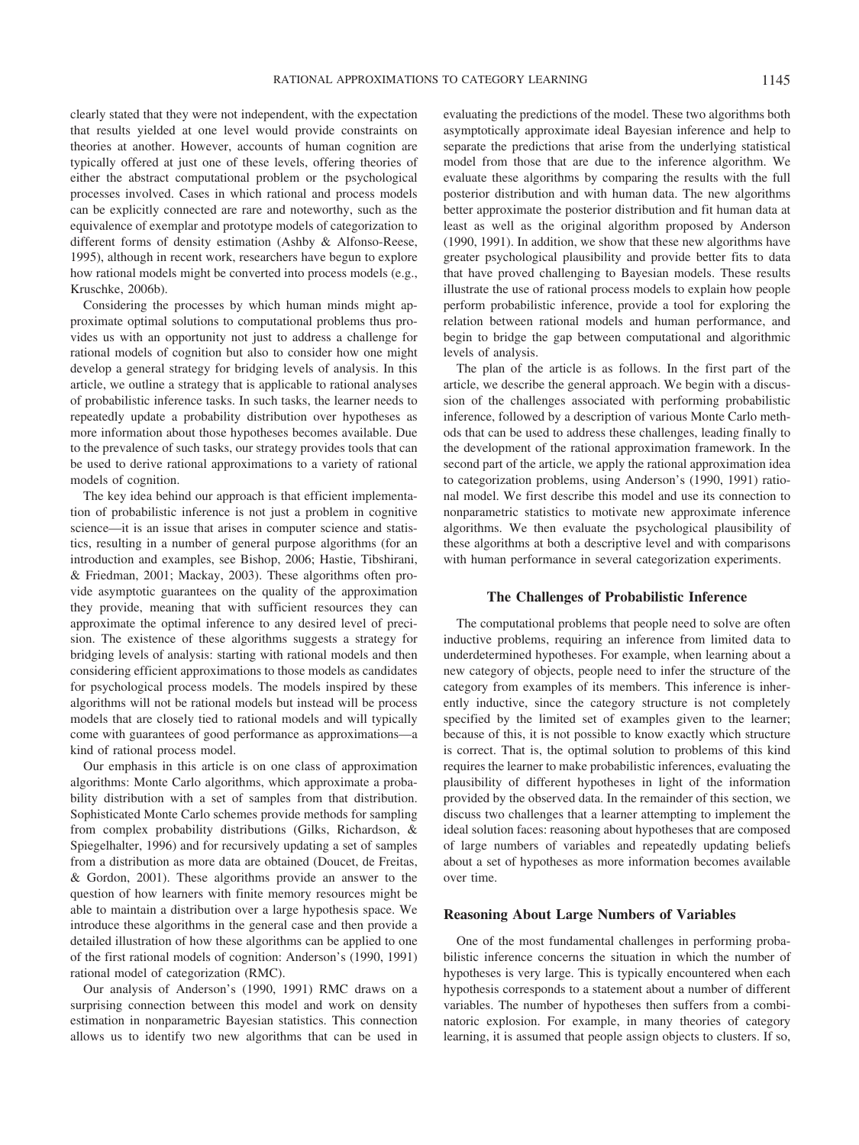clearly stated that they were not independent, with the expectation that results yielded at one level would provide constraints on theories at another. However, accounts of human cognition are typically offered at just one of these levels, offering theories of either the abstract computational problem or the psychological processes involved. Cases in which rational and process models can be explicitly connected are rare and noteworthy, such as the equivalence of exemplar and prototype models of categorization to different forms of density estimation (Ashby & Alfonso-Reese, 1995), although in recent work, researchers have begun to explore how rational models might be converted into process models (e.g., Kruschke, 2006b).

Considering the processes by which human minds might approximate optimal solutions to computational problems thus provides us with an opportunity not just to address a challenge for rational models of cognition but also to consider how one might develop a general strategy for bridging levels of analysis. In this article, we outline a strategy that is applicable to rational analyses of probabilistic inference tasks. In such tasks, the learner needs to repeatedly update a probability distribution over hypotheses as more information about those hypotheses becomes available. Due to the prevalence of such tasks, our strategy provides tools that can be used to derive rational approximations to a variety of rational models of cognition.

The key idea behind our approach is that efficient implementation of probabilistic inference is not just a problem in cognitive science—it is an issue that arises in computer science and statistics, resulting in a number of general purpose algorithms (for an introduction and examples, see Bishop, 2006; Hastie, Tibshirani, & Friedman, 2001; Mackay, 2003). These algorithms often provide asymptotic guarantees on the quality of the approximation they provide, meaning that with sufficient resources they can approximate the optimal inference to any desired level of precision. The existence of these algorithms suggests a strategy for bridging levels of analysis: starting with rational models and then considering efficient approximations to those models as candidates for psychological process models. The models inspired by these algorithms will not be rational models but instead will be process models that are closely tied to rational models and will typically come with guarantees of good performance as approximations—a kind of rational process model.

Our emphasis in this article is on one class of approximation algorithms: Monte Carlo algorithms, which approximate a probability distribution with a set of samples from that distribution. Sophisticated Monte Carlo schemes provide methods for sampling from complex probability distributions (Gilks, Richardson, & Spiegelhalter, 1996) and for recursively updating a set of samples from a distribution as more data are obtained (Doucet, de Freitas, & Gordon, 2001). These algorithms provide an answer to the question of how learners with finite memory resources might be able to maintain a distribution over a large hypothesis space. We introduce these algorithms in the general case and then provide a detailed illustration of how these algorithms can be applied to one of the first rational models of cognition: Anderson's (1990, 1991) rational model of categorization (RMC).

Our analysis of Anderson's (1990, 1991) RMC draws on a surprising connection between this model and work on density estimation in nonparametric Bayesian statistics. This connection allows us to identify two new algorithms that can be used in evaluating the predictions of the model. These two algorithms both asymptotically approximate ideal Bayesian inference and help to separate the predictions that arise from the underlying statistical model from those that are due to the inference algorithm. We evaluate these algorithms by comparing the results with the full posterior distribution and with human data. The new algorithms better approximate the posterior distribution and fit human data at least as well as the original algorithm proposed by Anderson (1990, 1991). In addition, we show that these new algorithms have greater psychological plausibility and provide better fits to data that have proved challenging to Bayesian models. These results illustrate the use of rational process models to explain how people perform probabilistic inference, provide a tool for exploring the relation between rational models and human performance, and begin to bridge the gap between computational and algorithmic levels of analysis.

The plan of the article is as follows. In the first part of the article, we describe the general approach. We begin with a discussion of the challenges associated with performing probabilistic inference, followed by a description of various Monte Carlo methods that can be used to address these challenges, leading finally to the development of the rational approximation framework. In the second part of the article, we apply the rational approximation idea to categorization problems, using Anderson's (1990, 1991) rational model. We first describe this model and use its connection to nonparametric statistics to motivate new approximate inference algorithms. We then evaluate the psychological plausibility of these algorithms at both a descriptive level and with comparisons with human performance in several categorization experiments.

#### **The Challenges of Probabilistic Inference**

The computational problems that people need to solve are often inductive problems, requiring an inference from limited data to underdetermined hypotheses. For example, when learning about a new category of objects, people need to infer the structure of the category from examples of its members. This inference is inherently inductive, since the category structure is not completely specified by the limited set of examples given to the learner; because of this, it is not possible to know exactly which structure is correct. That is, the optimal solution to problems of this kind requires the learner to make probabilistic inferences, evaluating the plausibility of different hypotheses in light of the information provided by the observed data. In the remainder of this section, we discuss two challenges that a learner attempting to implement the ideal solution faces: reasoning about hypotheses that are composed of large numbers of variables and repeatedly updating beliefs about a set of hypotheses as more information becomes available over time.

#### **Reasoning About Large Numbers of Variables**

One of the most fundamental challenges in performing probabilistic inference concerns the situation in which the number of hypotheses is very large. This is typically encountered when each hypothesis corresponds to a statement about a number of different variables. The number of hypotheses then suffers from a combinatoric explosion. For example, in many theories of category learning, it is assumed that people assign objects to clusters. If so,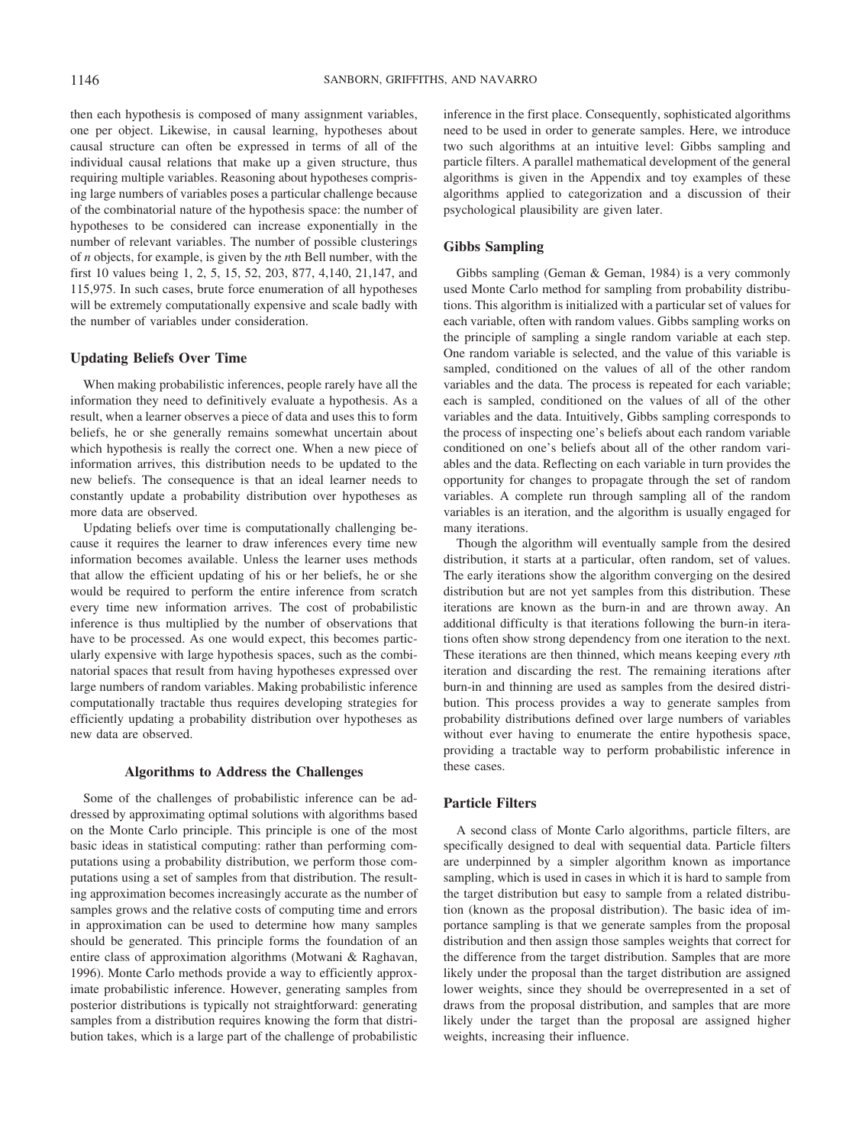then each hypothesis is composed of many assignment variables, one per object. Likewise, in causal learning, hypotheses about causal structure can often be expressed in terms of all of the individual causal relations that make up a given structure, thus requiring multiple variables. Reasoning about hypotheses comprising large numbers of variables poses a particular challenge because of the combinatorial nature of the hypothesis space: the number of hypotheses to be considered can increase exponentially in the number of relevant variables. The number of possible clusterings of *n* objects, for example, is given by the *n*th Bell number, with the first 10 values being 1, 2, 5, 15, 52, 203, 877, 4,140, 21,147, and 115,975. In such cases, brute force enumeration of all hypotheses will be extremely computationally expensive and scale badly with the number of variables under consideration.

#### **Updating Beliefs Over Time**

When making probabilistic inferences, people rarely have all the information they need to definitively evaluate a hypothesis. As a result, when a learner observes a piece of data and uses this to form beliefs, he or she generally remains somewhat uncertain about which hypothesis is really the correct one. When a new piece of information arrives, this distribution needs to be updated to the new beliefs. The consequence is that an ideal learner needs to constantly update a probability distribution over hypotheses as more data are observed.

Updating beliefs over time is computationally challenging because it requires the learner to draw inferences every time new information becomes available. Unless the learner uses methods that allow the efficient updating of his or her beliefs, he or she would be required to perform the entire inference from scratch every time new information arrives. The cost of probabilistic inference is thus multiplied by the number of observations that have to be processed. As one would expect, this becomes particularly expensive with large hypothesis spaces, such as the combinatorial spaces that result from having hypotheses expressed over large numbers of random variables. Making probabilistic inference computationally tractable thus requires developing strategies for efficiently updating a probability distribution over hypotheses as new data are observed.

#### **Algorithms to Address the Challenges**

Some of the challenges of probabilistic inference can be addressed by approximating optimal solutions with algorithms based on the Monte Carlo principle. This principle is one of the most basic ideas in statistical computing: rather than performing computations using a probability distribution, we perform those computations using a set of samples from that distribution. The resulting approximation becomes increasingly accurate as the number of samples grows and the relative costs of computing time and errors in approximation can be used to determine how many samples should be generated. This principle forms the foundation of an entire class of approximation algorithms (Motwani & Raghavan, 1996). Monte Carlo methods provide a way to efficiently approximate probabilistic inference. However, generating samples from posterior distributions is typically not straightforward: generating samples from a distribution requires knowing the form that distribution takes, which is a large part of the challenge of probabilistic

inference in the first place. Consequently, sophisticated algorithms need to be used in order to generate samples. Here, we introduce two such algorithms at an intuitive level: Gibbs sampling and particle filters. A parallel mathematical development of the general algorithms is given in the Appendix and toy examples of these algorithms applied to categorization and a discussion of their psychological plausibility are given later.

# **Gibbs Sampling**

Gibbs sampling (Geman & Geman, 1984) is a very commonly used Monte Carlo method for sampling from probability distributions. This algorithm is initialized with a particular set of values for each variable, often with random values. Gibbs sampling works on the principle of sampling a single random variable at each step. One random variable is selected, and the value of this variable is sampled, conditioned on the values of all of the other random variables and the data. The process is repeated for each variable; each is sampled, conditioned on the values of all of the other variables and the data. Intuitively, Gibbs sampling corresponds to the process of inspecting one's beliefs about each random variable conditioned on one's beliefs about all of the other random variables and the data. Reflecting on each variable in turn provides the opportunity for changes to propagate through the set of random variables. A complete run through sampling all of the random variables is an iteration, and the algorithm is usually engaged for many iterations.

Though the algorithm will eventually sample from the desired distribution, it starts at a particular, often random, set of values. The early iterations show the algorithm converging on the desired distribution but are not yet samples from this distribution. These iterations are known as the burn-in and are thrown away. An additional difficulty is that iterations following the burn-in iterations often show strong dependency from one iteration to the next. These iterations are then thinned, which means keeping every *n*th iteration and discarding the rest. The remaining iterations after burn-in and thinning are used as samples from the desired distribution. This process provides a way to generate samples from probability distributions defined over large numbers of variables without ever having to enumerate the entire hypothesis space, providing a tractable way to perform probabilistic inference in these cases.

# **Particle Filters**

A second class of Monte Carlo algorithms, particle filters, are specifically designed to deal with sequential data. Particle filters are underpinned by a simpler algorithm known as importance sampling, which is used in cases in which it is hard to sample from the target distribution but easy to sample from a related distribution (known as the proposal distribution). The basic idea of importance sampling is that we generate samples from the proposal distribution and then assign those samples weights that correct for the difference from the target distribution. Samples that are more likely under the proposal than the target distribution are assigned lower weights, since they should be overrepresented in a set of draws from the proposal distribution, and samples that are more likely under the target than the proposal are assigned higher weights, increasing their influence.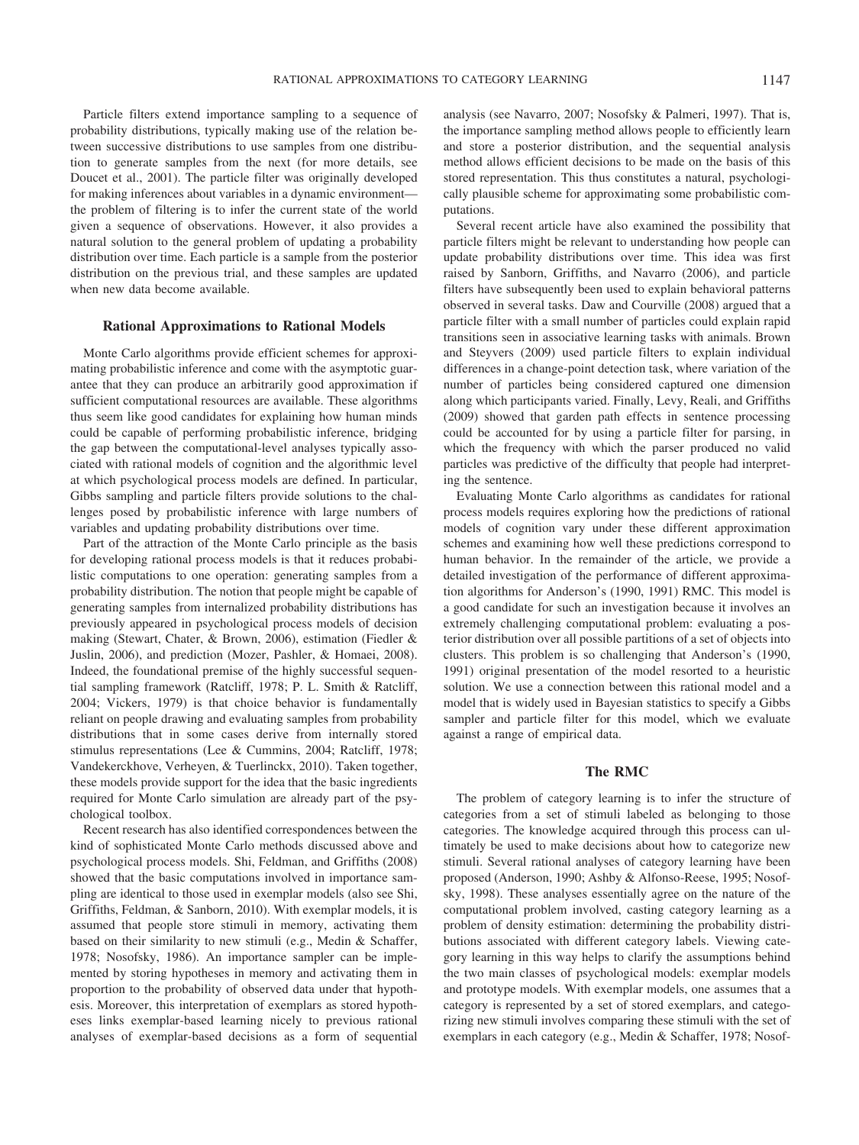Particle filters extend importance sampling to a sequence of probability distributions, typically making use of the relation between successive distributions to use samples from one distribution to generate samples from the next (for more details, see Doucet et al., 2001). The particle filter was originally developed for making inferences about variables in a dynamic environment the problem of filtering is to infer the current state of the world given a sequence of observations. However, it also provides a natural solution to the general problem of updating a probability distribution over time. Each particle is a sample from the posterior distribution on the previous trial, and these samples are updated when new data become available.

#### **Rational Approximations to Rational Models**

Monte Carlo algorithms provide efficient schemes for approximating probabilistic inference and come with the asymptotic guarantee that they can produce an arbitrarily good approximation if sufficient computational resources are available. These algorithms thus seem like good candidates for explaining how human minds could be capable of performing probabilistic inference, bridging the gap between the computational-level analyses typically associated with rational models of cognition and the algorithmic level at which psychological process models are defined. In particular, Gibbs sampling and particle filters provide solutions to the challenges posed by probabilistic inference with large numbers of variables and updating probability distributions over time.

Part of the attraction of the Monte Carlo principle as the basis for developing rational process models is that it reduces probabilistic computations to one operation: generating samples from a probability distribution. The notion that people might be capable of generating samples from internalized probability distributions has previously appeared in psychological process models of decision making (Stewart, Chater, & Brown, 2006), estimation (Fiedler & Juslin, 2006), and prediction (Mozer, Pashler, & Homaei, 2008). Indeed, the foundational premise of the highly successful sequential sampling framework (Ratcliff, 1978; P. L. Smith & Ratcliff, 2004; Vickers, 1979) is that choice behavior is fundamentally reliant on people drawing and evaluating samples from probability distributions that in some cases derive from internally stored stimulus representations (Lee & Cummins, 2004; Ratcliff, 1978; Vandekerckhove, Verheyen, & Tuerlinckx, 2010). Taken together, these models provide support for the idea that the basic ingredients required for Monte Carlo simulation are already part of the psychological toolbox.

Recent research has also identified correspondences between the kind of sophisticated Monte Carlo methods discussed above and psychological process models. Shi, Feldman, and Griffiths (2008) showed that the basic computations involved in importance sampling are identical to those used in exemplar models (also see Shi, Griffiths, Feldman, & Sanborn, 2010). With exemplar models, it is assumed that people store stimuli in memory, activating them based on their similarity to new stimuli (e.g., Medin & Schaffer, 1978; Nosofsky, 1986). An importance sampler can be implemented by storing hypotheses in memory and activating them in proportion to the probability of observed data under that hypothesis. Moreover, this interpretation of exemplars as stored hypotheses links exemplar-based learning nicely to previous rational analyses of exemplar-based decisions as a form of sequential analysis (see Navarro, 2007; Nosofsky & Palmeri, 1997). That is, the importance sampling method allows people to efficiently learn and store a posterior distribution, and the sequential analysis method allows efficient decisions to be made on the basis of this stored representation. This thus constitutes a natural, psychologically plausible scheme for approximating some probabilistic computations.

Several recent article have also examined the possibility that particle filters might be relevant to understanding how people can update probability distributions over time. This idea was first raised by Sanborn, Griffiths, and Navarro (2006), and particle filters have subsequently been used to explain behavioral patterns observed in several tasks. Daw and Courville (2008) argued that a particle filter with a small number of particles could explain rapid transitions seen in associative learning tasks with animals. Brown and Steyvers (2009) used particle filters to explain individual differences in a change-point detection task, where variation of the number of particles being considered captured one dimension along which participants varied. Finally, Levy, Reali, and Griffiths (2009) showed that garden path effects in sentence processing could be accounted for by using a particle filter for parsing, in which the frequency with which the parser produced no valid particles was predictive of the difficulty that people had interpreting the sentence.

Evaluating Monte Carlo algorithms as candidates for rational process models requires exploring how the predictions of rational models of cognition vary under these different approximation schemes and examining how well these predictions correspond to human behavior. In the remainder of the article, we provide a detailed investigation of the performance of different approximation algorithms for Anderson's (1990, 1991) RMC. This model is a good candidate for such an investigation because it involves an extremely challenging computational problem: evaluating a posterior distribution over all possible partitions of a set of objects into clusters. This problem is so challenging that Anderson's (1990, 1991) original presentation of the model resorted to a heuristic solution. We use a connection between this rational model and a model that is widely used in Bayesian statistics to specify a Gibbs sampler and particle filter for this model, which we evaluate against a range of empirical data.

# **The RMC**

The problem of category learning is to infer the structure of categories from a set of stimuli labeled as belonging to those categories. The knowledge acquired through this process can ultimately be used to make decisions about how to categorize new stimuli. Several rational analyses of category learning have been proposed (Anderson, 1990; Ashby & Alfonso-Reese, 1995; Nosofsky, 1998). These analyses essentially agree on the nature of the computational problem involved, casting category learning as a problem of density estimation: determining the probability distributions associated with different category labels. Viewing category learning in this way helps to clarify the assumptions behind the two main classes of psychological models: exemplar models and prototype models. With exemplar models, one assumes that a category is represented by a set of stored exemplars, and categorizing new stimuli involves comparing these stimuli with the set of exemplars in each category (e.g., Medin & Schaffer, 1978; Nosof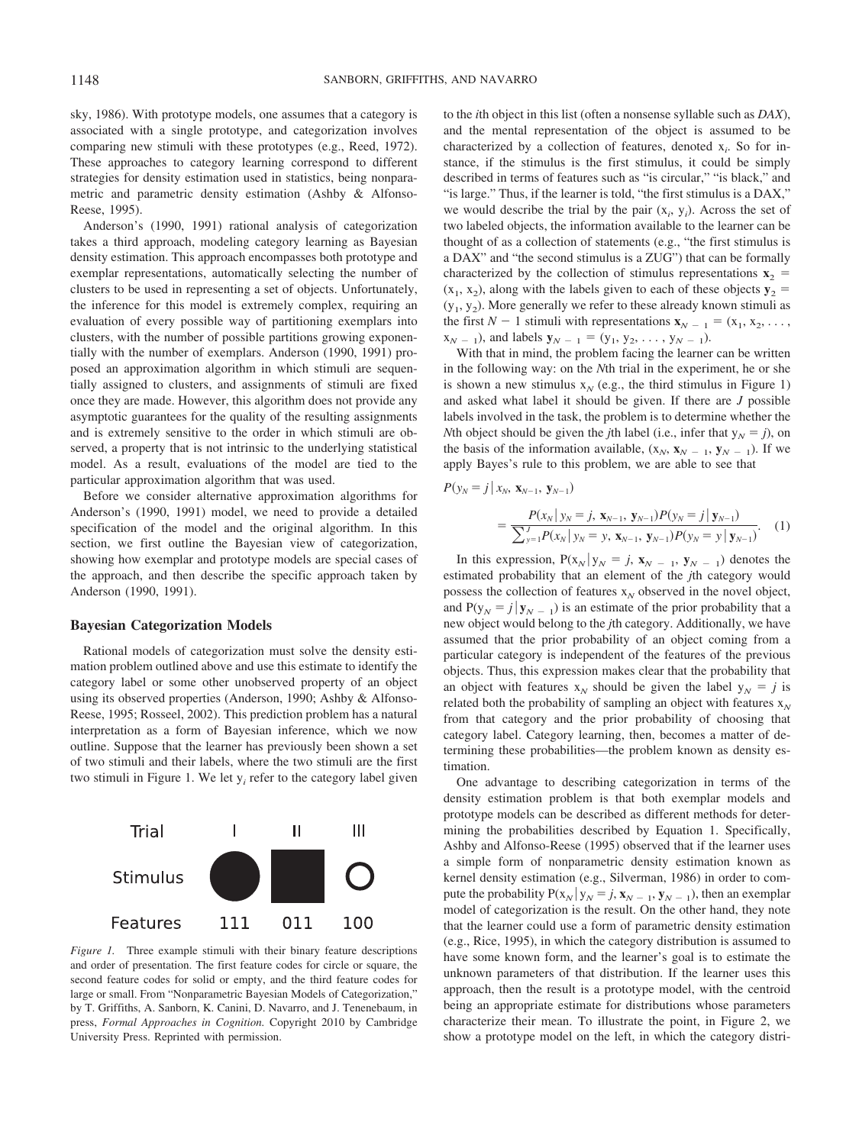sky, 1986). With prototype models, one assumes that a category is associated with a single prototype, and categorization involves comparing new stimuli with these prototypes (e.g., Reed, 1972). These approaches to category learning correspond to different strategies for density estimation used in statistics, being nonparametric and parametric density estimation (Ashby & Alfonso-Reese, 1995).

Anderson's (1990, 1991) rational analysis of categorization takes a third approach, modeling category learning as Bayesian density estimation. This approach encompasses both prototype and exemplar representations, automatically selecting the number of clusters to be used in representing a set of objects. Unfortunately, the inference for this model is extremely complex, requiring an evaluation of every possible way of partitioning exemplars into clusters, with the number of possible partitions growing exponentially with the number of exemplars. Anderson (1990, 1991) proposed an approximation algorithm in which stimuli are sequentially assigned to clusters, and assignments of stimuli are fixed once they are made. However, this algorithm does not provide any asymptotic guarantees for the quality of the resulting assignments and is extremely sensitive to the order in which stimuli are observed, a property that is not intrinsic to the underlying statistical model. As a result, evaluations of the model are tied to the particular approximation algorithm that was used.

Before we consider alternative approximation algorithms for Anderson's (1990, 1991) model, we need to provide a detailed specification of the model and the original algorithm. In this section, we first outline the Bayesian view of categorization, showing how exemplar and prototype models are special cases of the approach, and then describe the specific approach taken by Anderson (1990, 1991).

#### **Bayesian Categorization Models**

Rational models of categorization must solve the density estimation problem outlined above and use this estimate to identify the category label or some other unobserved property of an object using its observed properties (Anderson, 1990; Ashby & Alfonso-Reese, 1995; Rosseel, 2002). This prediction problem has a natural interpretation as a form of Bayesian inference, which we now outline. Suppose that the learner has previously been shown a set of two stimuli and their labels, where the two stimuli are the first two stimuli in Figure 1. We let y*<sup>i</sup>* refer to the category label given



*Figure 1.* Three example stimuli with their binary feature descriptions and order of presentation. The first feature codes for circle or square, the second feature codes for solid or empty, and the third feature codes for large or small. From "Nonparametric Bayesian Models of Categorization," by T. Griffiths, A. Sanborn, K. Canini, D. Navarro, and J. Tenenebaum, in press, *Formal Approaches in Cognition.* Copyright 2010 by Cambridge University Press. Reprinted with permission.

to the *i*th object in this list (often a nonsense syllable such as *DAX*), and the mental representation of the object is assumed to be characterized by a collection of features, denoted x*<sup>i</sup>* . So for instance, if the stimulus is the first stimulus, it could be simply described in terms of features such as "is circular," "is black," and "is large." Thus, if the learner is told, "the first stimulus is a DAX," we would describe the trial by the pair  $(x_i, y_i)$ . Across the set of two labeled objects, the information available to the learner can be thought of as a collection of statements (e.g., "the first stimulus is a DAX" and "the second stimulus is a ZUG") that can be formally characterized by the collection of stimulus representations  $\mathbf{x}_2$  =  $(x_1, x_2)$ , along with the labels given to each of these objects  $y_2 =$  $(y_1, y_2)$ . More generally we refer to these already known stimuli as the first  $N-1$  stimuli with representations  $\mathbf{x}_{N-1} = (x_1, x_2, \dots, x_n)$  $X_{N-1}$ ), and labels  $y_{N-1} = (y_1, y_2, \ldots, y_{N-1})$ .

With that in mind, the problem facing the learner can be written in the following way: on the *N*th trial in the experiment, he or she is shown a new stimulus  $x_N$  (e.g., the third stimulus in Figure 1) and asked what label it should be given. If there are *J* possible labels involved in the task, the problem is to determine whether the *N*th object should be given the *j*th label (i.e., infer that  $y_N = j$ ), on the basis of the information available,  $(x_N, x_{N-1}, y_{N-1})$ . If we apply Bayes's rule to this problem, we are able to see that

$$
P(y_N = j | x_N, \mathbf{x}_{N-1}, \mathbf{y}_{N-1})
$$

$$
= \frac{P(x_N | y_N = j, \mathbf{x}_{N-1}, \mathbf{y}_{N-1}) P(y_N = j | \mathbf{y}_{N-1})}{\sum_{y=1}^J P(x_N | y_N = y, \mathbf{x}_{N-1}, \mathbf{y}_{N-1}) P(y_N = y | \mathbf{y}_{N-1})}.
$$
 (1)

In this expression,  $P(X_N | y_N = j, X_{N-1}, Y_{N-1})$  denotes the estimated probability that an element of the *j*th category would possess the collection of features  $x_N$  observed in the novel object, and  $P(y_N = j | y_{N-1})$  is an estimate of the prior probability that a new object would belong to the *j*th category. Additionally, we have assumed that the prior probability of an object coming from a particular category is independent of the features of the previous objects. Thus, this expression makes clear that the probability that an object with features  $x_N$  should be given the label  $y_N = j$  is related both the probability of sampling an object with features  $x<sub>N</sub>$ from that category and the prior probability of choosing that category label. Category learning, then, becomes a matter of determining these probabilities—the problem known as density estimation.

One advantage to describing categorization in terms of the density estimation problem is that both exemplar models and prototype models can be described as different methods for determining the probabilities described by Equation 1. Specifically, Ashby and Alfonso-Reese (1995) observed that if the learner uses a simple form of nonparametric density estimation known as kernel density estimation (e.g., Silverman, 1986) in order to compute the probability  $P(\mathbf{x}_N | \mathbf{y}_N = j, \mathbf{x}_{N-1}, \mathbf{y}_{N-1})$ , then an exemplar model of categorization is the result. On the other hand, they note that the learner could use a form of parametric density estimation (e.g., Rice, 1995), in which the category distribution is assumed to have some known form, and the learner's goal is to estimate the unknown parameters of that distribution. If the learner uses this approach, then the result is a prototype model, with the centroid being an appropriate estimate for distributions whose parameters characterize their mean. To illustrate the point, in Figure 2, we show a prototype model on the left, in which the category distri-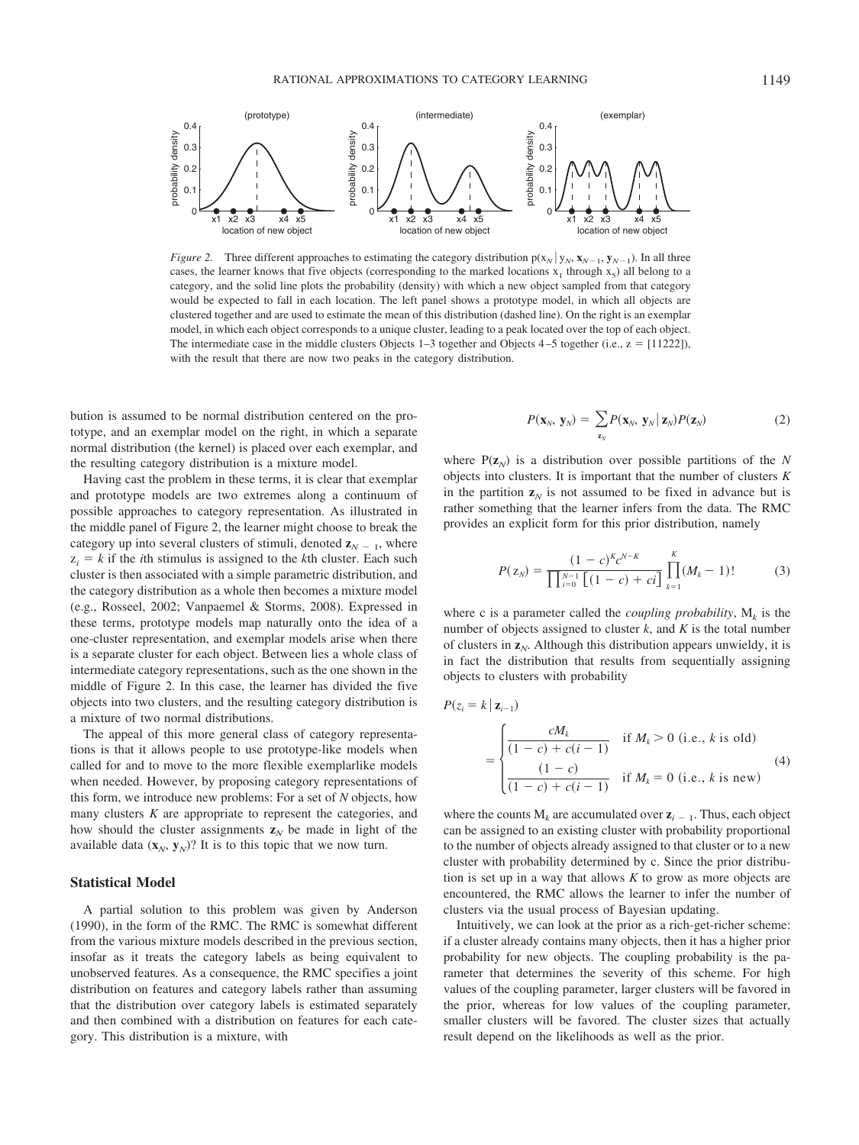

*Figure 2.* Three different approaches to estimating the category distribution  $p(x_N | y_N, x_{N-1}, y_{N-1})$ . In all three cases, the learner knows that five objects (corresponding to the marked locations  $x_1$  through  $x_5$ ) all belong to a category, and the solid line plots the probability (density) with which a new object sampled from that category would be expected to fall in each location. The left panel shows a prototype model, in which all objects are clustered together and are used to estimate the mean of this distribution (dashed line). On the right is an exemplar model, in which each object corresponds to a unique cluster, leading to a peak located over the top of each object. The intermediate case in the middle clusters Objects  $1-3$  together and Objects  $4-5$  together (i.e.,  $z = [11222]$ ), with the result that there are now two peaks in the category distribution.

bution is assumed to be normal distribution centered on the prototype, and an exemplar model on the right, in which a separate normal distribution (the kernel) is placed over each exemplar, and the resulting category distribution is a mixture model.

Having cast the problem in these terms, it is clear that exemplar and prototype models are two extremes along a continuum of possible approaches to category representation. As illustrated in the middle panel of Figure 2, the learner might choose to break the category up into several clusters of stimuli, denoted  $\mathbf{z}_{N-1}$ , where  $z_i = k$  if the *i*th stimulus is assigned to the *k*th cluster. Each such cluster is then associated with a simple parametric distribution, and the category distribution as a whole then becomes a mixture model (e.g., Rosseel, 2002; Vanpaemel & Storms, 2008). Expressed in these terms, prototype models map naturally onto the idea of a one-cluster representation, and exemplar models arise when there is a separate cluster for each object. Between lies a whole class of intermediate category representations, such as the one shown in the middle of Figure 2. In this case, the learner has divided the five objects into two clusters, and the resulting category distribution is a mixture of two normal distributions.

The appeal of this more general class of category representations is that it allows people to use prototype-like models when called for and to move to the more flexible exemplarlike models when needed. However, by proposing category representations of this form, we introduce new problems: For a set of *N* objects, how many clusters *K* are appropriate to represent the categories, and how should the cluster assignments  $z_N$  be made in light of the available data  $(\mathbf{x}_N, \mathbf{y}_N)$ ? It is to this topic that we now turn.

#### **Statistical Model**

A partial solution to this problem was given by Anderson (1990), in the form of the RMC. The RMC is somewhat different from the various mixture models described in the previous section, insofar as it treats the category labels as being equivalent to unobserved features. As a consequence, the RMC specifies a joint distribution on features and category labels rather than assuming that the distribution over category labels is estimated separately and then combined with a distribution on features for each category. This distribution is a mixture, with

$$
P(\mathbf{x}_N, \mathbf{y}_N) = \sum_{\mathbf{z}_N} P(\mathbf{x}_N, \mathbf{y}_N | \mathbf{z}_N) P(\mathbf{z}_N)
$$
(2)

where  $P(\mathbf{z}_N)$  is a distribution over possible partitions of the *N* objects into clusters. It is important that the number of clusters *K* in the partition  $\mathbf{z}_N$  is not assumed to be fixed in advance but is rather something that the learner infers from the data. The RMC provides an explicit form for this prior distribution, namely

$$
P(z_N) = \frac{(1-c)^K c^{N-K}}{\prod_{i=0}^{N-1} \left[ (1-c) + ci \right]} \prod_{k=1}^{K} (M_k - 1)!
$$
 (3)

where c is a parameter called the *coupling probability*,  $M_k$  is the number of objects assigned to cluster *k*, and *K* is the total number of clusters in **z***N*. Although this distribution appears unwieldy, it is in fact the distribution that results from sequentially assigning objects to clusters with probability

$$
P(z_i = k | \mathbf{z}_{i-1})
$$
  
= 
$$
\begin{cases} \frac{cM_k}{(1-c) + c(i-1)} & \text{if } M_k > 0 \text{ (i.e., } k \text{ is old)}\\ \frac{(1-c)}{(1-c) + c(i-1)} & \text{if } M_k = 0 \text{ (i.e., } k \text{ is new)} \end{cases}
$$
(4)

where the counts  $M_k$  are accumulated over  $z_{i-1}$ . Thus, each object can be assigned to an existing cluster with probability proportional to the number of objects already assigned to that cluster or to a new cluster with probability determined by c. Since the prior distribution is set up in a way that allows *K* to grow as more objects are encountered, the RMC allows the learner to infer the number of clusters via the usual process of Bayesian updating.

Intuitively, we can look at the prior as a rich-get-richer scheme: if a cluster already contains many objects, then it has a higher prior probability for new objects. The coupling probability is the parameter that determines the severity of this scheme. For high values of the coupling parameter, larger clusters will be favored in the prior, whereas for low values of the coupling parameter, smaller clusters will be favored. The cluster sizes that actually result depend on the likelihoods as well as the prior.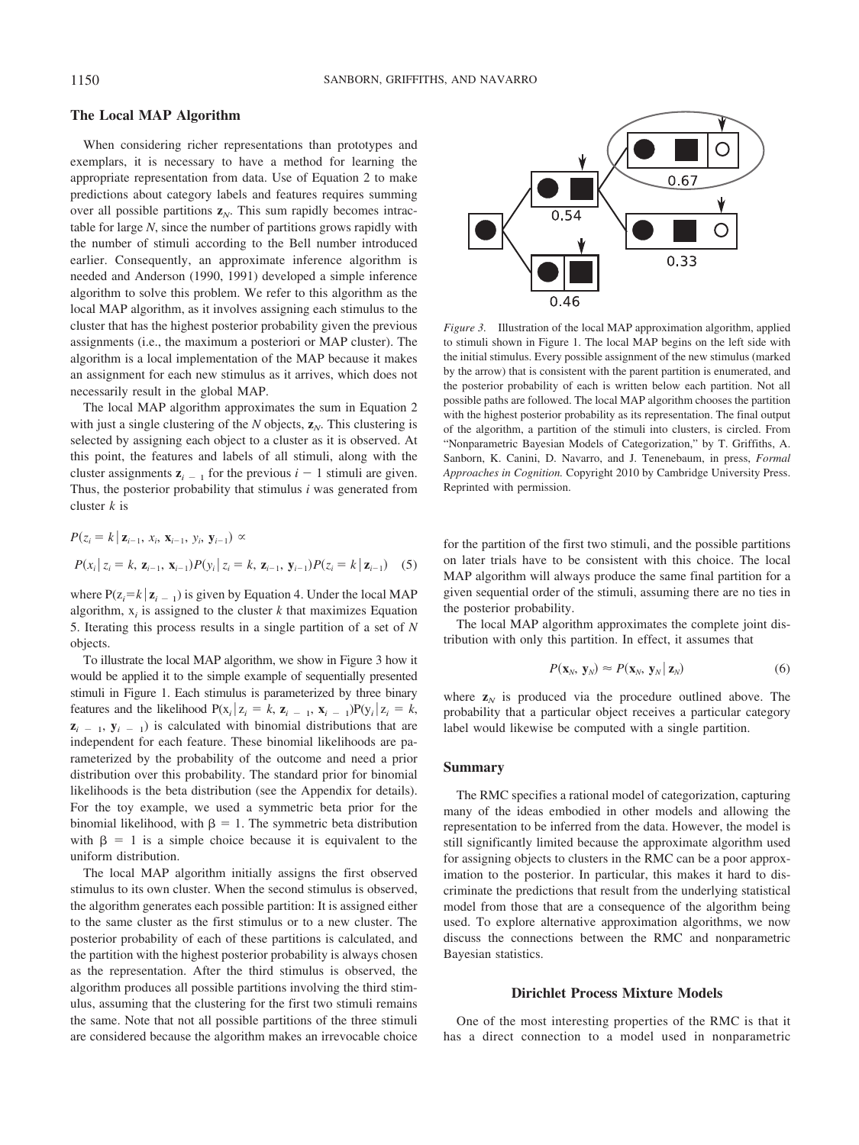# **The Local MAP Algorithm**

When considering richer representations than prototypes and exemplars, it is necessary to have a method for learning the appropriate representation from data. Use of Equation 2 to make predictions about category labels and features requires summing over all possible partitions  $\mathbf{z}_N$ . This sum rapidly becomes intractable for large *N*, since the number of partitions grows rapidly with the number of stimuli according to the Bell number introduced earlier. Consequently, an approximate inference algorithm is needed and Anderson (1990, 1991) developed a simple inference algorithm to solve this problem. We refer to this algorithm as the local MAP algorithm, as it involves assigning each stimulus to the cluster that has the highest posterior probability given the previous assignments (i.e., the maximum a posteriori or MAP cluster). The algorithm is a local implementation of the MAP because it makes an assignment for each new stimulus as it arrives, which does not necessarily result in the global MAP.

The local MAP algorithm approximates the sum in Equation 2 with just a single clustering of the *N* objects,  $\mathbf{z}_N$ . This clustering is selected by assigning each object to a cluster as it is observed. At this point, the features and labels of all stimuli, along with the cluster assignments  $z_{i-1}$  for the previous  $i-1$  stimuli are given. Thus, the posterior probability that stimulus *i* was generated from cluster *k* is

$$
P(z_i = k | \mathbf{z}_{i-1}, x_i, \mathbf{x}_{i-1}, y_i, \mathbf{y}_{i-1}) \propto
$$
  
\n
$$
P(x_i | z_i = k, \mathbf{z}_{i-1}, \mathbf{x}_{i-1}) P(y_i | z_i = k, \mathbf{z}_{i-1}, \mathbf{y}_{i-1}) P(z_i = k | \mathbf{z}_{i-1})
$$
 (5)

where  $P(z_i = k | z_{i-1})$  is given by Equation 4. Under the local MAP algorithm,  $x_i$  is assigned to the cluster  $k$  that maximizes Equation 5. Iterating this process results in a single partition of a set of *N* objects.

To illustrate the local MAP algorithm, we show in Figure 3 how it would be applied it to the simple example of sequentially presented stimuli in Figure 1. Each stimulus is parameterized by three binary features and the likelihood  $P(x_i | z_i = k, z_{i-1}, x_{i-1})P(y_i | z_i = k,$  $\mathbf{z}_{i-1}$ ,  $\mathbf{y}_{i-1}$  is calculated with binomial distributions that are independent for each feature. These binomial likelihoods are parameterized by the probability of the outcome and need a prior distribution over this probability. The standard prior for binomial likelihoods is the beta distribution (see the Appendix for details). For the toy example, we used a symmetric beta prior for the binomial likelihood, with  $\beta = 1$ . The symmetric beta distribution with  $\beta = 1$  is a simple choice because it is equivalent to the uniform distribution.

The local MAP algorithm initially assigns the first observed stimulus to its own cluster. When the second stimulus is observed, the algorithm generates each possible partition: It is assigned either to the same cluster as the first stimulus or to a new cluster. The posterior probability of each of these partitions is calculated, and the partition with the highest posterior probability is always chosen as the representation. After the third stimulus is observed, the algorithm produces all possible partitions involving the third stimulus, assuming that the clustering for the first two stimuli remains the same. Note that not all possible partitions of the three stimuli are considered because the algorithm makes an irrevocable choice



*Figure 3.* Illustration of the local MAP approximation algorithm, applied to stimuli shown in Figure 1. The local MAP begins on the left side with the initial stimulus. Every possible assignment of the new stimulus (marked by the arrow) that is consistent with the parent partition is enumerated, and the posterior probability of each is written below each partition. Not all possible paths are followed. The local MAP algorithm chooses the partition with the highest posterior probability as its representation. The final output of the algorithm, a partition of the stimuli into clusters, is circled. From "Nonparametric Bayesian Models of Categorization," by T. Griffiths, A. Sanborn, K. Canini, D. Navarro, and J. Tenenebaum, in press, *Formal Approaches in Cognition.* Copyright 2010 by Cambridge University Press. Reprinted with permission.

for the partition of the first two stimuli, and the possible partitions on later trials have to be consistent with this choice. The local MAP algorithm will always produce the same final partition for a given sequential order of the stimuli, assuming there are no ties in the posterior probability.

The local MAP algorithm approximates the complete joint distribution with only this partition. In effect, it assumes that

$$
P(\mathbf{x}_N, \mathbf{y}_N) \approx P(\mathbf{x}_N, \mathbf{y}_N | \mathbf{z}_N)
$$
 (6)

where  $\mathbf{z}_N$  is produced via the procedure outlined above. The probability that a particular object receives a particular category label would likewise be computed with a single partition.

#### **Summary**

The RMC specifies a rational model of categorization, capturing many of the ideas embodied in other models and allowing the representation to be inferred from the data. However, the model is still significantly limited because the approximate algorithm used for assigning objects to clusters in the RMC can be a poor approximation to the posterior. In particular, this makes it hard to discriminate the predictions that result from the underlying statistical model from those that are a consequence of the algorithm being used. To explore alternative approximation algorithms, we now discuss the connections between the RMC and nonparametric Bayesian statistics.

#### **Dirichlet Process Mixture Models**

One of the most interesting properties of the RMC is that it has a direct connection to a model used in nonparametric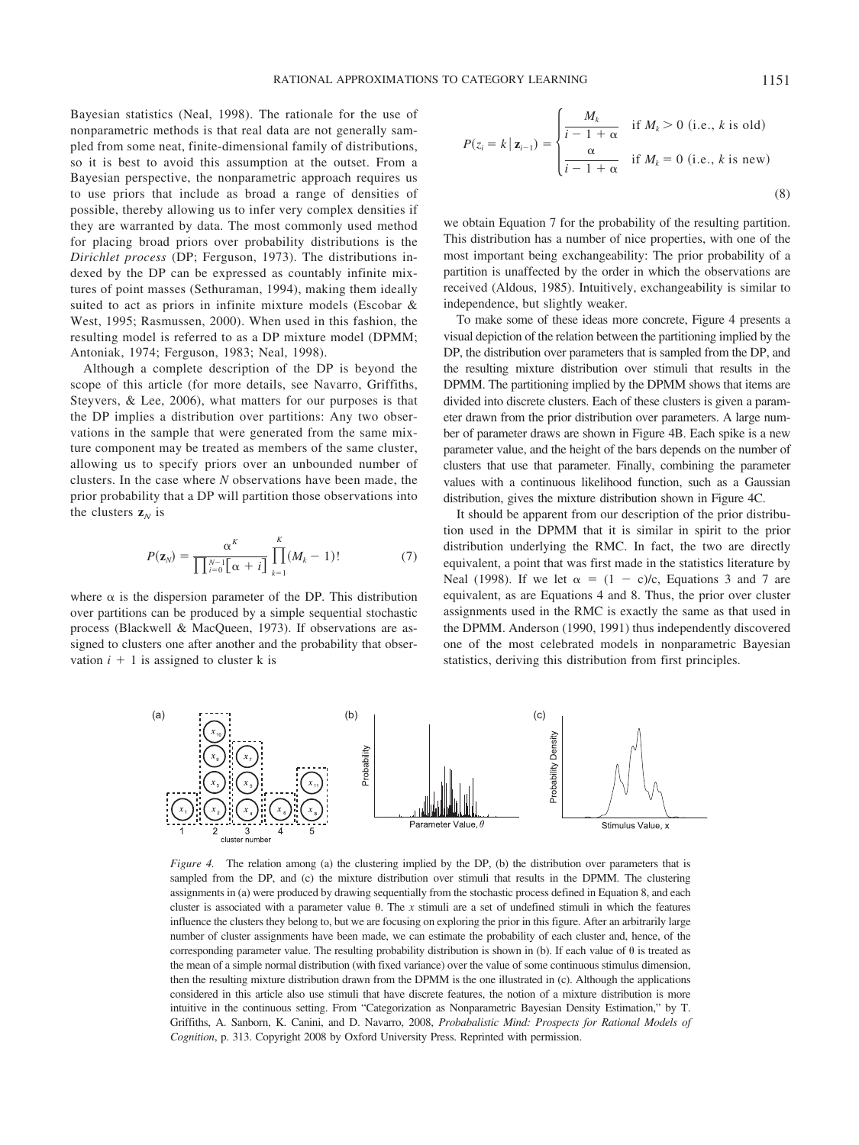Bayesian statistics (Neal, 1998). The rationale for the use of nonparametric methods is that real data are not generally sampled from some neat, finite-dimensional family of distributions, so it is best to avoid this assumption at the outset. From a Bayesian perspective, the nonparametric approach requires us to use priors that include as broad a range of densities of possible, thereby allowing us to infer very complex densities if they are warranted by data. The most commonly used method for placing broad priors over probability distributions is the *Dirichlet process* (DP; Ferguson, 1973). The distributions indexed by the DP can be expressed as countably infinite mixtures of point masses (Sethuraman, 1994), making them ideally suited to act as priors in infinite mixture models (Escobar & West, 1995; Rasmussen, 2000). When used in this fashion, the resulting model is referred to as a DP mixture model (DPMM; Antoniak, 1974; Ferguson, 1983; Neal, 1998).

Although a complete description of the DP is beyond the scope of this article (for more details, see Navarro, Griffiths, Steyvers, & Lee, 2006), what matters for our purposes is that the DP implies a distribution over partitions: Any two observations in the sample that were generated from the same mixture component may be treated as members of the same cluster, allowing us to specify priors over an unbounded number of clusters. In the case where *N* observations have been made, the prior probability that a DP will partition those observations into the clusters  $z_N$  is

$$
P(\mathbf{z}_N) = \frac{\alpha^K}{\prod_{i=0}^{N-1} [\alpha + i]} \prod_{k=1}^K (M_k - 1)!
$$
 (7)

where  $\alpha$  is the dispersion parameter of the DP. This distribution over partitions can be produced by a simple sequential stochastic process (Blackwell & MacQueen, 1973). If observations are assigned to clusters one after another and the probability that observation  $i + 1$  is assigned to cluster k is

$$
P(z_i = k | \mathbf{z}_{i-1}) = \begin{cases} \frac{M_k}{i-1 + \alpha} & \text{if } M_k > 0 \text{ (i.e., } k \text{ is old)}\\ \frac{\alpha}{i-1 + \alpha} & \text{if } M_k = 0 \text{ (i.e., } k \text{ is new)} \end{cases}
$$
(8)

we obtain Equation 7 for the probability of the resulting partition. This distribution has a number of nice properties, with one of the most important being exchangeability: The prior probability of a partition is unaffected by the order in which the observations are received (Aldous, 1985). Intuitively, exchangeability is similar to independence, but slightly weaker.

To make some of these ideas more concrete, Figure 4 presents a visual depiction of the relation between the partitioning implied by the DP, the distribution over parameters that is sampled from the DP, and the resulting mixture distribution over stimuli that results in the DPMM. The partitioning implied by the DPMM shows that items are divided into discrete clusters. Each of these clusters is given a parameter drawn from the prior distribution over parameters. A large number of parameter draws are shown in Figure 4B. Each spike is a new parameter value, and the height of the bars depends on the number of clusters that use that parameter. Finally, combining the parameter values with a continuous likelihood function, such as a Gaussian distribution, gives the mixture distribution shown in Figure 4C.

It should be apparent from our description of the prior distribution used in the DPMM that it is similar in spirit to the prior distribution underlying the RMC. In fact, the two are directly equivalent, a point that was first made in the statistics literature by Neal (1998). If we let  $\alpha = (1 - c)/c$ , Equations 3 and 7 are equivalent, as are Equations 4 and 8. Thus, the prior over cluster assignments used in the RMC is exactly the same as that used in the DPMM. Anderson (1990, 1991) thus independently discovered one of the most celebrated models in nonparametric Bayesian statistics, deriving this distribution from first principles.



*Figure 4.* The relation among (a) the clustering implied by the DP, (b) the distribution over parameters that is sampled from the DP, and (c) the mixture distribution over stimuli that results in the DPMM. The clustering assignments in (a) were produced by drawing sequentially from the stochastic process defined in Equation 8, and each cluster is associated with a parameter value  $\theta$ . The *x* stimuli are a set of undefined stimuli in which the features influence the clusters they belong to, but we are focusing on exploring the prior in this figure. After an arbitrarily large number of cluster assignments have been made, we can estimate the probability of each cluster and, hence, of the corresponding parameter value. The resulting probability distribution is shown in (b). If each value of  $\theta$  is treated as the mean of a simple normal distribution (with fixed variance) over the value of some continuous stimulus dimension, then the resulting mixture distribution drawn from the DPMM is the one illustrated in (c). Although the applications considered in this article also use stimuli that have discrete features, the notion of a mixture distribution is more intuitive in the continuous setting. From "Categorization as Nonparametric Bayesian Density Estimation," by T. Griffiths, A. Sanborn, K. Canini, and D. Navarro, 2008, *Probabalistic Mind: Prospects for Rational Models of Cognition*, p. 313. Copyright 2008 by Oxford University Press. Reprinted with permission.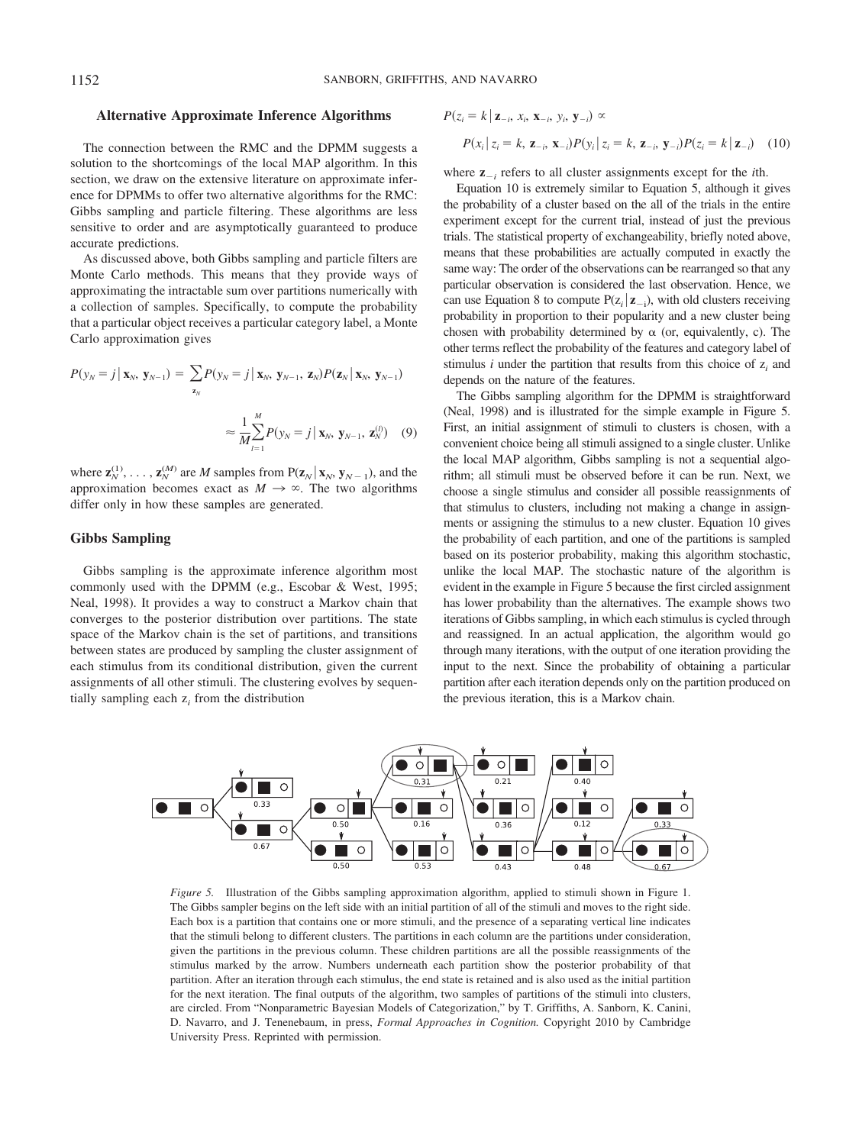#### **Alternative Approximate Inference Algorithms**

The connection between the RMC and the DPMM suggests a solution to the shortcomings of the local MAP algorithm. In this section, we draw on the extensive literature on approximate inference for DPMMs to offer two alternative algorithms for the RMC: Gibbs sampling and particle filtering. These algorithms are less sensitive to order and are asymptotically guaranteed to produce accurate predictions.

As discussed above, both Gibbs sampling and particle filters are Monte Carlo methods. This means that they provide ways of approximating the intractable sum over partitions numerically with a collection of samples. Specifically, to compute the probability that a particular object receives a particular category label, a Monte Carlo approximation gives

$$
P(y_N = j | \mathbf{x}_N, \mathbf{y}_{N-1}) = \sum_{\mathbf{z}_N} P(y_N = j | \mathbf{x}_N, \mathbf{y}_{N-1}, \mathbf{z}_N) P(\mathbf{z}_N | \mathbf{x}_N, \mathbf{y}_{N-1})
$$

$$
\approx \frac{1}{M} \sum_{l=1}^M P(y_N = j | \mathbf{x}_N, \mathbf{y}_{N-1}, \mathbf{z}_N^{(l)}) \quad (9)
$$

where  $\mathbf{z}_N^{(1)}, \ldots, \mathbf{z}_N^{(M)}$  are *M* samples from  $P(\mathbf{z}_N | \mathbf{x}_N, \mathbf{y}_{N-1})$ , and the approximation becomes exact as  $M \to \infty$ . The two algorithms differ only in how these samples are generated.

### **Gibbs Sampling**

Gibbs sampling is the approximate inference algorithm most commonly used with the DPMM (e.g., Escobar & West, 1995; Neal, 1998). It provides a way to construct a Markov chain that converges to the posterior distribution over partitions. The state space of the Markov chain is the set of partitions, and transitions between states are produced by sampling the cluster assignment of each stimulus from its conditional distribution, given the current assignments of all other stimuli. The clustering evolves by sequentially sampling each z*<sup>i</sup>* from the distribution

$$
P(z_i = k | \mathbf{z}_{-i}, x_i, \mathbf{x}_{-i}, y_i, \mathbf{y}_{-i}) \propto
$$
  
\n
$$
P(x_i | z_i = k, \mathbf{z}_{-i}, \mathbf{x}_{-i}) P(y_i | z_i = k, \mathbf{z}_{-i}, \mathbf{y}_{-i}) P(z_i = k | \mathbf{z}_{-i}) \quad (10)
$$

where  $z_{-i}$  refers to all cluster assignments except for the *i*th.

Equation 10 is extremely similar to Equation 5, although it gives the probability of a cluster based on the all of the trials in the entire experiment except for the current trial, instead of just the previous trials. The statistical property of exchangeability, briefly noted above, means that these probabilities are actually computed in exactly the same way: The order of the observations can be rearranged so that any particular observation is considered the last observation. Hence, we can use Equation 8 to compute  $P(z_i | z_{-i})$ , with old clusters receiving probability in proportion to their popularity and a new cluster being chosen with probability determined by  $\alpha$  (or, equivalently, c). The other terms reflect the probability of the features and category label of stimulus  $i$  under the partition that results from this choice of  $z_i$  and depends on the nature of the features.

The Gibbs sampling algorithm for the DPMM is straightforward (Neal, 1998) and is illustrated for the simple example in Figure 5. First, an initial assignment of stimuli to clusters is chosen, with a convenient choice being all stimuli assigned to a single cluster. Unlike the local MAP algorithm, Gibbs sampling is not a sequential algorithm; all stimuli must be observed before it can be run. Next, we choose a single stimulus and consider all possible reassignments of that stimulus to clusters, including not making a change in assignments or assigning the stimulus to a new cluster. Equation 10 gives the probability of each partition, and one of the partitions is sampled based on its posterior probability, making this algorithm stochastic, unlike the local MAP. The stochastic nature of the algorithm is evident in the example in Figure 5 because the first circled assignment has lower probability than the alternatives. The example shows two iterations of Gibbs sampling, in which each stimulus is cycled through and reassigned. In an actual application, the algorithm would go through many iterations, with the output of one iteration providing the input to the next. Since the probability of obtaining a particular partition after each iteration depends only on the partition produced on the previous iteration, this is a Markov chain.



*Figure 5.* Illustration of the Gibbs sampling approximation algorithm, applied to stimuli shown in Figure 1. The Gibbs sampler begins on the left side with an initial partition of all of the stimuli and moves to the right side. Each box is a partition that contains one or more stimuli, and the presence of a separating vertical line indicates that the stimuli belong to different clusters. The partitions in each column are the partitions under consideration, given the partitions in the previous column. These children partitions are all the possible reassignments of the stimulus marked by the arrow. Numbers underneath each partition show the posterior probability of that partition. After an iteration through each stimulus, the end state is retained and is also used as the initial partition for the next iteration. The final outputs of the algorithm, two samples of partitions of the stimuli into clusters, are circled. From "Nonparametric Bayesian Models of Categorization," by T. Griffiths, A. Sanborn, K. Canini, D. Navarro, and J. Tenenebaum, in press, *Formal Approaches in Cognition.* Copyright 2010 by Cambridge University Press. Reprinted with permission.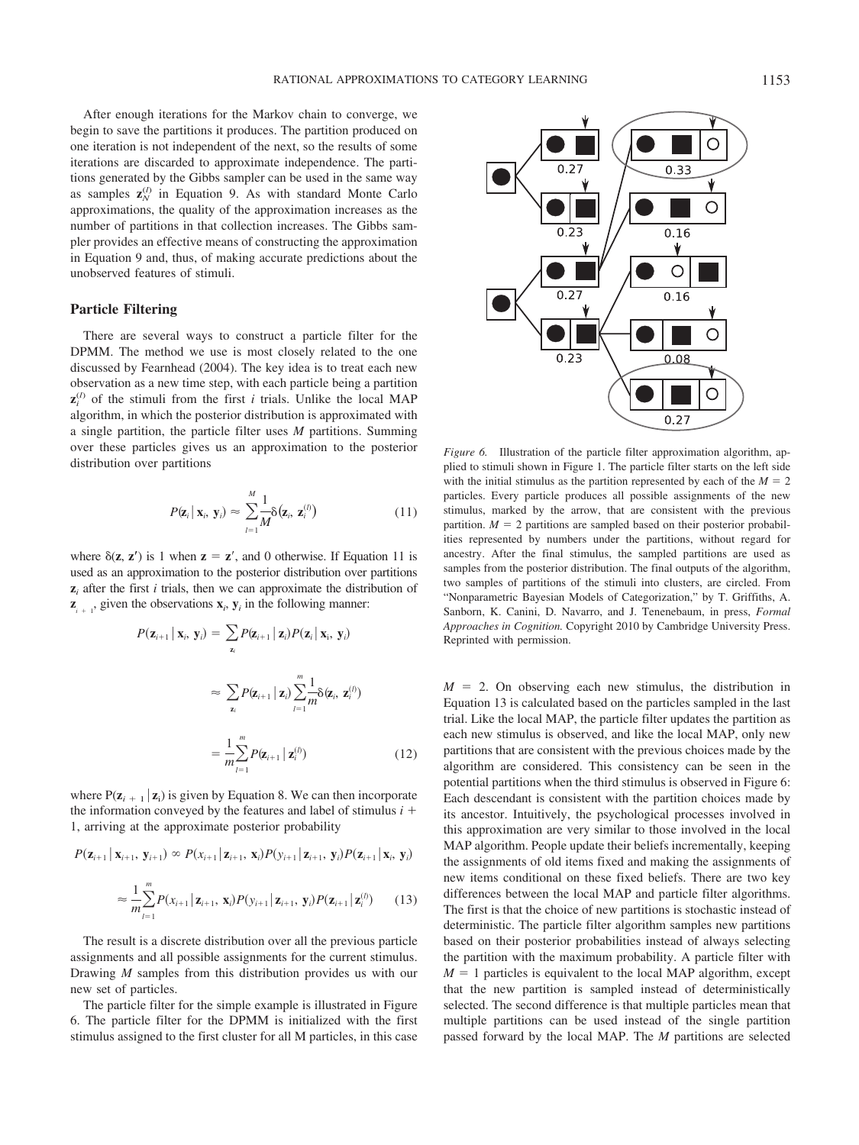After enough iterations for the Markov chain to converge, we begin to save the partitions it produces. The partition produced on one iteration is not independent of the next, so the results of some iterations are discarded to approximate independence. The partitions generated by the Gibbs sampler can be used in the same way as samples  $z_N^{(l)}$  in Equation 9. As with standard Monte Carlo approximations, the quality of the approximation increases as the number of partitions in that collection increases. The Gibbs sampler provides an effective means of constructing the approximation in Equation 9 and, thus, of making accurate predictions about the unobserved features of stimuli.

#### **Particle Filtering**

There are several ways to construct a particle filter for the DPMM. The method we use is most closely related to the one discussed by Fearnhead (2004). The key idea is to treat each new observation as a new time step, with each particle being a partition  $z_i^{(l)}$  of the stimuli from the first *i* trials. Unlike the local MAP algorithm, in which the posterior distribution is approximated with a single partition, the particle filter uses *M* partitions. Summing over these particles gives us an approximation to the posterior distribution over partitions

$$
P(\mathbf{z}_i | \mathbf{x}_i, \mathbf{y}_i) \approx \sum_{l=1}^{M} \frac{1}{M} \delta(\mathbf{z}_i, \mathbf{z}_i^{(l)})
$$
(11)

where  $\delta(z, z')$  is 1 when  $z = z'$ , and 0 otherwise. If Equation 11 is used as an approximation to the posterior distribution over partitions  $\mathbf{z}_i$  after the first *i* trials, then we can approximate the distribution of  $\mathbf{z}_{i+1}$ , given the observations  $\mathbf{x}_i$ ,  $\mathbf{y}_i$  in the following manner:

$$
P(\mathbf{z}_{i+1} | \mathbf{x}_i, \mathbf{y}_i) = \sum_{\mathbf{z}_i} P(\mathbf{z}_{i+1} | \mathbf{z}_i) P(\mathbf{z}_i | \mathbf{x}_i, \mathbf{y}_i)
$$
  
\n
$$
\approx \sum_{\mathbf{z}_i} P(\mathbf{z}_{i+1} | \mathbf{z}_i) \sum_{l=1}^m \frac{1}{m} \delta(\mathbf{z}_i, \mathbf{z}_i^{(l)})
$$
  
\n
$$
= \frac{1}{m} \sum_{l=1}^m P(\mathbf{z}_{i+1} | \mathbf{z}_i^{(l)})
$$
(12)

where  $P(\mathbf{z}_{i+1} | \mathbf{z}_i)$  is given by Equation 8. We can then incorporate the information conveyed by the features and label of stimulus  $i +$ 1, arriving at the approximate posterior probability

$$
P(\mathbf{z}_{i+1} | \mathbf{x}_{i+1}, \mathbf{y}_{i+1}) \propto P(x_{i+1} | \mathbf{z}_{i+1}, \mathbf{x}_i) P(y_{i+1} | \mathbf{z}_{i+1}, \mathbf{y}_i) P(\mathbf{z}_{i+1} | \mathbf{x}_i, \mathbf{y}_i)
$$
  

$$
\approx \frac{1}{m} \sum_{i=1}^m P(x_{i+1} | \mathbf{z}_{i+1}, \mathbf{x}_i) P(y_{i+1} | \mathbf{z}_{i+1}, \mathbf{y}_i) P(\mathbf{z}_{i+1} | \mathbf{z}_i^{(i)}) \qquad (13)
$$

*Pyi*

The result is a discrete distribution over all the previous particle assignments and all possible assignments for the current stimulus. Drawing *M* samples from this distribution provides us with our new set of particles.

The particle filter for the simple example is illustrated in Figure 6. The particle filter for the DPMM is initialized with the first stimulus assigned to the first cluster for all M particles, in this case



*Figure 6.* Illustration of the particle filter approximation algorithm, applied to stimuli shown in Figure 1. The particle filter starts on the left side with the initial stimulus as the partition represented by each of the  $M = 2$ particles. Every particle produces all possible assignments of the new stimulus, marked by the arrow, that are consistent with the previous partition.  $M = 2$  partitions are sampled based on their posterior probabilities represented by numbers under the partitions, without regard for ancestry. After the final stimulus, the sampled partitions are used as samples from the posterior distribution. The final outputs of the algorithm, two samples of partitions of the stimuli into clusters, are circled. From "Nonparametric Bayesian Models of Categorization," by T. Griffiths, A. Sanborn, K. Canini, D. Navarro, and J. Tenenebaum, in press, *Formal Approaches in Cognition.* Copyright 2010 by Cambridge University Press. Reprinted with permission.

 $M = 2$ . On observing each new stimulus, the distribution in Equation 13 is calculated based on the particles sampled in the last trial. Like the local MAP, the particle filter updates the partition as each new stimulus is observed, and like the local MAP, only new partitions that are consistent with the previous choices made by the algorithm are considered. This consistency can be seen in the potential partitions when the third stimulus is observed in Figure 6: Each descendant is consistent with the partition choices made by its ancestor. Intuitively, the psychological processes involved in this approximation are very similar to those involved in the local MAP algorithm. People update their beliefs incrementally, keeping the assignments of old items fixed and making the assignments of new items conditional on these fixed beliefs. There are two key differences between the local MAP and particle filter algorithms. The first is that the choice of new partitions is stochastic instead of deterministic. The particle filter algorithm samples new partitions based on their posterior probabilities instead of always selecting the partition with the maximum probability. A particle filter with  $M = 1$  particles is equivalent to the local MAP algorithm, except that the new partition is sampled instead of deterministically selected. The second difference is that multiple particles mean that multiple partitions can be used instead of the single partition passed forward by the local MAP. The *M* partitions are selected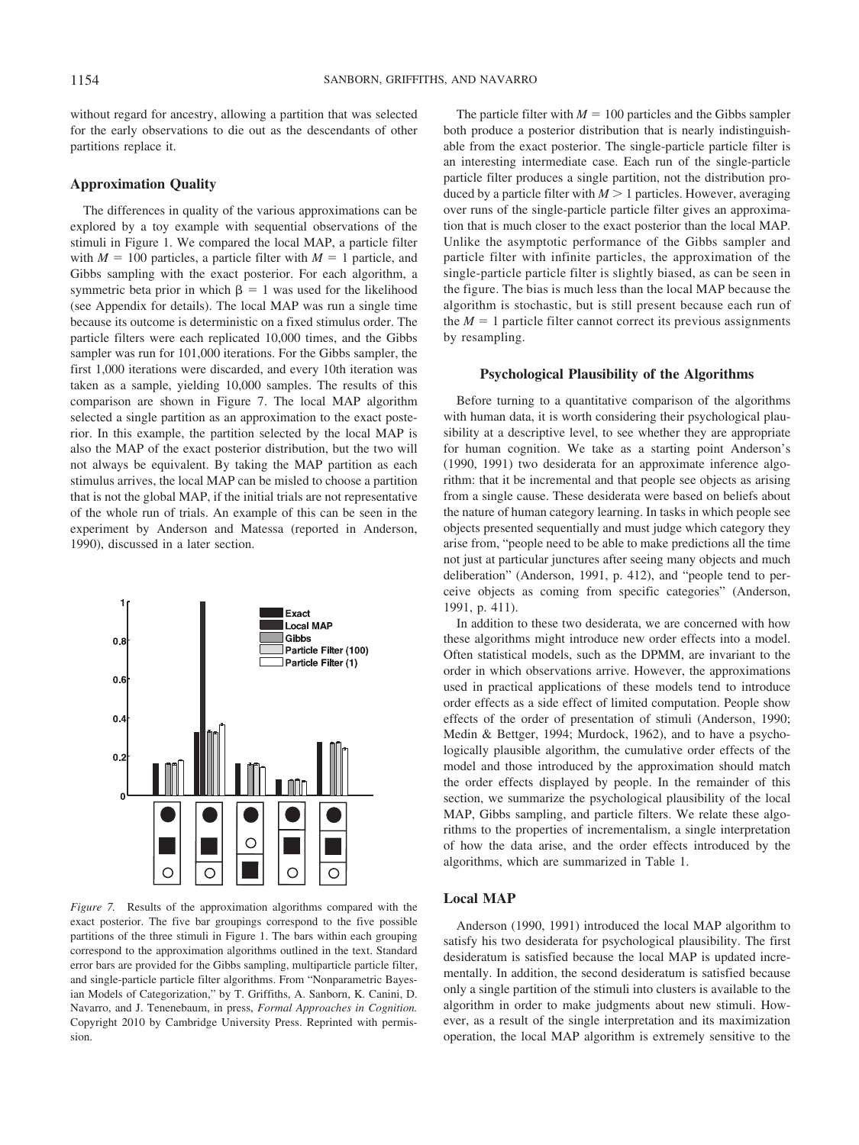without regard for ancestry, allowing a partition that was selected for the early observations to die out as the descendants of other partitions replace it.

#### **Approximation Quality**

The differences in quality of the various approximations can be explored by a toy example with sequential observations of the stimuli in Figure 1. We compared the local MAP, a particle filter with  $M = 100$  particles, a particle filter with  $M = 1$  particle, and Gibbs sampling with the exact posterior. For each algorithm, a symmetric beta prior in which  $\beta = 1$  was used for the likelihood (see Appendix for details). The local MAP was run a single time because its outcome is deterministic on a fixed stimulus order. The particle filters were each replicated 10,000 times, and the Gibbs sampler was run for 101,000 iterations. For the Gibbs sampler, the first 1,000 iterations were discarded, and every 10th iteration was taken as a sample, yielding 10,000 samples. The results of this comparison are shown in Figure 7. The local MAP algorithm selected a single partition as an approximation to the exact posterior. In this example, the partition selected by the local MAP is also the MAP of the exact posterior distribution, but the two will not always be equivalent. By taking the MAP partition as each stimulus arrives, the local MAP can be misled to choose a partition that is not the global MAP, if the initial trials are not representative of the whole run of trials. An example of this can be seen in the experiment by Anderson and Matessa (reported in Anderson, 1990), discussed in a later section.



*Figure 7.* Results of the approximation algorithms compared with the exact posterior. The five bar groupings correspond to the five possible partitions of the three stimuli in Figure 1. The bars within each grouping correspond to the approximation algorithms outlined in the text. Standard error bars are provided for the Gibbs sampling, multiparticle particle filter, and single-particle particle filter algorithms. From "Nonparametric Bayesian Models of Categorization," by T. Griffiths, A. Sanborn, K. Canini, D. Navarro, and J. Tenenebaum, in press, *Formal Approaches in Cognition.* Copyright 2010 by Cambridge University Press. Reprinted with permission.

The particle filter with  $M = 100$  particles and the Gibbs sampler both produce a posterior distribution that is nearly indistinguishable from the exact posterior. The single-particle particle filter is an interesting intermediate case. Each run of the single-particle particle filter produces a single partition, not the distribution produced by a particle filter with  $M > 1$  particles. However, averaging over runs of the single-particle particle filter gives an approximation that is much closer to the exact posterior than the local MAP. Unlike the asymptotic performance of the Gibbs sampler and particle filter with infinite particles, the approximation of the single-particle particle filter is slightly biased, as can be seen in the figure. The bias is much less than the local MAP because the algorithm is stochastic, but is still present because each run of the  $M = 1$  particle filter cannot correct its previous assignments by resampling.

#### **Psychological Plausibility of the Algorithms**

Before turning to a quantitative comparison of the algorithms with human data, it is worth considering their psychological plausibility at a descriptive level, to see whether they are appropriate for human cognition. We take as a starting point Anderson's (1990, 1991) two desiderata for an approximate inference algorithm: that it be incremental and that people see objects as arising from a single cause. These desiderata were based on beliefs about the nature of human category learning. In tasks in which people see objects presented sequentially and must judge which category they arise from, "people need to be able to make predictions all the time not just at particular junctures after seeing many objects and much deliberation" (Anderson, 1991, p. 412), and "people tend to perceive objects as coming from specific categories" (Anderson, 1991, p. 411).

In addition to these two desiderata, we are concerned with how these algorithms might introduce new order effects into a model. Often statistical models, such as the DPMM, are invariant to the order in which observations arrive. However, the approximations used in practical applications of these models tend to introduce order effects as a side effect of limited computation. People show effects of the order of presentation of stimuli (Anderson, 1990; Medin & Bettger, 1994; Murdock, 1962), and to have a psychologically plausible algorithm, the cumulative order effects of the model and those introduced by the approximation should match the order effects displayed by people. In the remainder of this section, we summarize the psychological plausibility of the local MAP, Gibbs sampling, and particle filters. We relate these algorithms to the properties of incrementalism, a single interpretation of how the data arise, and the order effects introduced by the algorithms, which are summarized in Table 1.

# **Local MAP**

Anderson (1990, 1991) introduced the local MAP algorithm to satisfy his two desiderata for psychological plausibility. The first desideratum is satisfied because the local MAP is updated incrementally. In addition, the second desideratum is satisfied because only a single partition of the stimuli into clusters is available to the algorithm in order to make judgments about new stimuli. However, as a result of the single interpretation and its maximization operation, the local MAP algorithm is extremely sensitive to the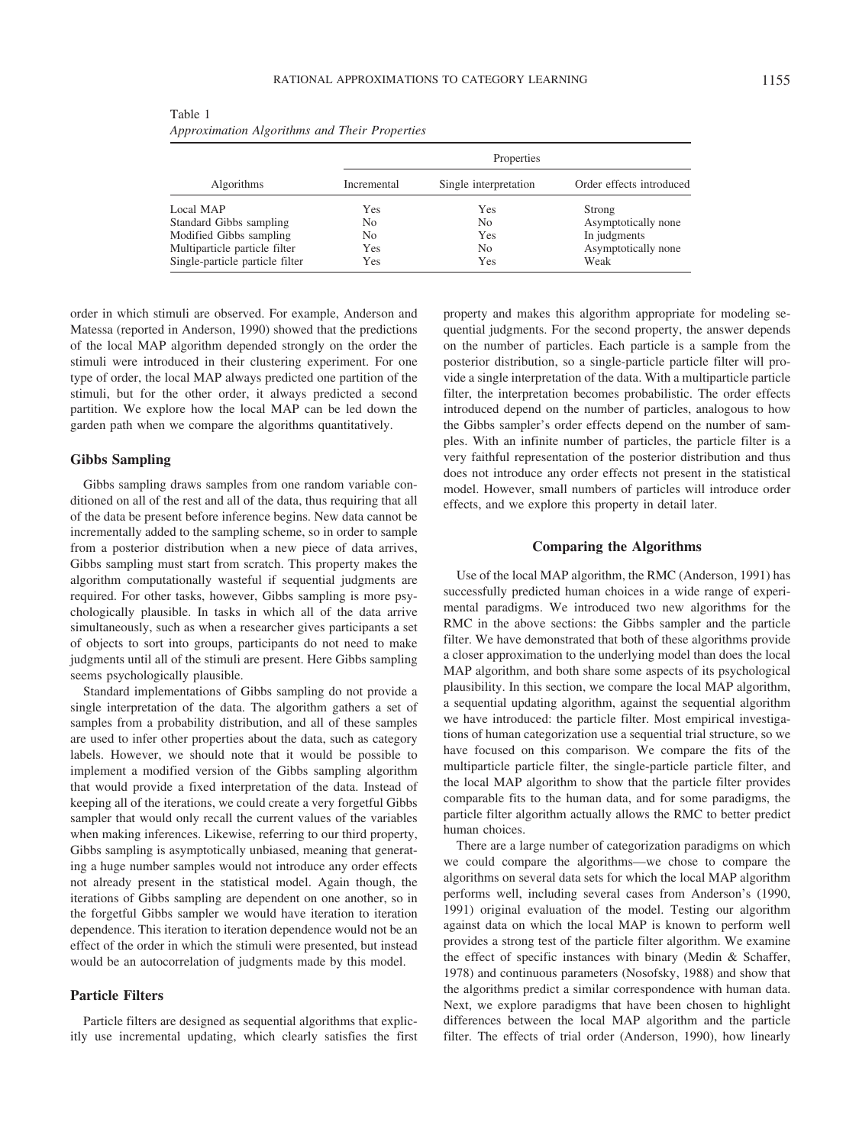Table 1 *Approximation Algorithms and Their Properties*

|                                 | Properties  |                       |                          |  |
|---------------------------------|-------------|-----------------------|--------------------------|--|
| <b>Algorithms</b>               | Incremental | Single interpretation | Order effects introduced |  |
| Local MAP                       | Yes         | Yes                   | Strong                   |  |
| Standard Gibbs sampling         | No          | No                    | Asymptotically none      |  |
| Modified Gibbs sampling         | No          | Yes                   | In judgments             |  |
| Multiparticle particle filter   | Yes         | No                    | Asymptotically none      |  |
| Single-particle particle filter | Yes         | Yes                   | Weak                     |  |

order in which stimuli are observed. For example, Anderson and Matessa (reported in Anderson, 1990) showed that the predictions of the local MAP algorithm depended strongly on the order the stimuli were introduced in their clustering experiment. For one type of order, the local MAP always predicted one partition of the stimuli, but for the other order, it always predicted a second partition. We explore how the local MAP can be led down the garden path when we compare the algorithms quantitatively.

## **Gibbs Sampling**

Gibbs sampling draws samples from one random variable conditioned on all of the rest and all of the data, thus requiring that all of the data be present before inference begins. New data cannot be incrementally added to the sampling scheme, so in order to sample from a posterior distribution when a new piece of data arrives, Gibbs sampling must start from scratch. This property makes the algorithm computationally wasteful if sequential judgments are required. For other tasks, however, Gibbs sampling is more psychologically plausible. In tasks in which all of the data arrive simultaneously, such as when a researcher gives participants a set of objects to sort into groups, participants do not need to make judgments until all of the stimuli are present. Here Gibbs sampling seems psychologically plausible.

Standard implementations of Gibbs sampling do not provide a single interpretation of the data. The algorithm gathers a set of samples from a probability distribution, and all of these samples are used to infer other properties about the data, such as category labels. However, we should note that it would be possible to implement a modified version of the Gibbs sampling algorithm that would provide a fixed interpretation of the data. Instead of keeping all of the iterations, we could create a very forgetful Gibbs sampler that would only recall the current values of the variables when making inferences. Likewise, referring to our third property, Gibbs sampling is asymptotically unbiased, meaning that generating a huge number samples would not introduce any order effects not already present in the statistical model. Again though, the iterations of Gibbs sampling are dependent on one another, so in the forgetful Gibbs sampler we would have iteration to iteration dependence. This iteration to iteration dependence would not be an effect of the order in which the stimuli were presented, but instead would be an autocorrelation of judgments made by this model.

#### **Particle Filters**

Particle filters are designed as sequential algorithms that explicitly use incremental updating, which clearly satisfies the first property and makes this algorithm appropriate for modeling sequential judgments. For the second property, the answer depends on the number of particles. Each particle is a sample from the posterior distribution, so a single-particle particle filter will provide a single interpretation of the data. With a multiparticle particle filter, the interpretation becomes probabilistic. The order effects introduced depend on the number of particles, analogous to how the Gibbs sampler's order effects depend on the number of samples. With an infinite number of particles, the particle filter is a very faithful representation of the posterior distribution and thus does not introduce any order effects not present in the statistical model. However, small numbers of particles will introduce order effects, and we explore this property in detail later.

#### **Comparing the Algorithms**

Use of the local MAP algorithm, the RMC (Anderson, 1991) has successfully predicted human choices in a wide range of experimental paradigms. We introduced two new algorithms for the RMC in the above sections: the Gibbs sampler and the particle filter. We have demonstrated that both of these algorithms provide a closer approximation to the underlying model than does the local MAP algorithm, and both share some aspects of its psychological plausibility. In this section, we compare the local MAP algorithm, a sequential updating algorithm, against the sequential algorithm we have introduced: the particle filter. Most empirical investigations of human categorization use a sequential trial structure, so we have focused on this comparison. We compare the fits of the multiparticle particle filter, the single-particle particle filter, and the local MAP algorithm to show that the particle filter provides comparable fits to the human data, and for some paradigms, the particle filter algorithm actually allows the RMC to better predict human choices.

There are a large number of categorization paradigms on which we could compare the algorithms—we chose to compare the algorithms on several data sets for which the local MAP algorithm performs well, including several cases from Anderson's (1990, 1991) original evaluation of the model. Testing our algorithm against data on which the local MAP is known to perform well provides a strong test of the particle filter algorithm. We examine the effect of specific instances with binary (Medin & Schaffer, 1978) and continuous parameters (Nosofsky, 1988) and show that the algorithms predict a similar correspondence with human data. Next, we explore paradigms that have been chosen to highlight differences between the local MAP algorithm and the particle filter. The effects of trial order (Anderson, 1990), how linearly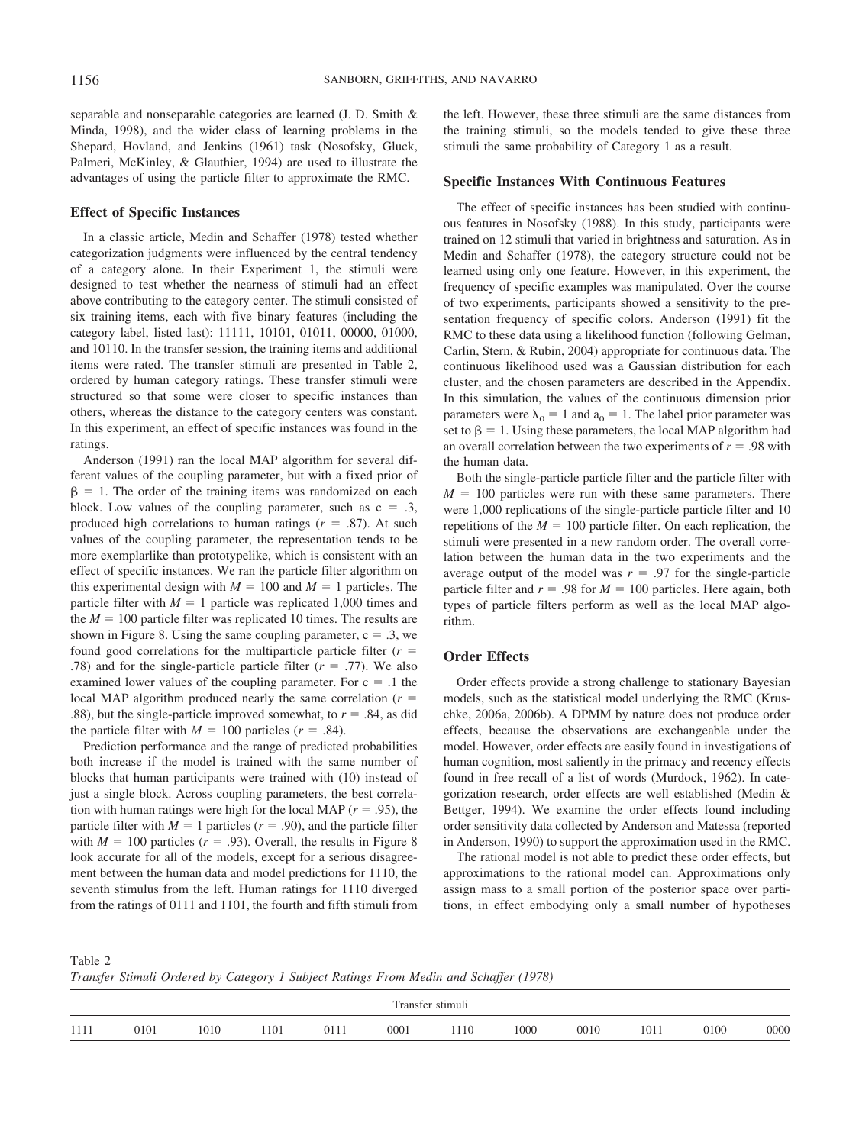separable and nonseparable categories are learned (J. D. Smith & Minda, 1998), and the wider class of learning problems in the Shepard, Hovland, and Jenkins (1961) task (Nosofsky, Gluck, Palmeri, McKinley, & Glauthier, 1994) are used to illustrate the advantages of using the particle filter to approximate the RMC.

#### **Effect of Specific Instances**

In a classic article, Medin and Schaffer (1978) tested whether categorization judgments were influenced by the central tendency of a category alone. In their Experiment 1, the stimuli were designed to test whether the nearness of stimuli had an effect above contributing to the category center. The stimuli consisted of six training items, each with five binary features (including the category label, listed last): 11111, 10101, 01011, 00000, 01000, and 10110. In the transfer session, the training items and additional items were rated. The transfer stimuli are presented in Table 2, ordered by human category ratings. These transfer stimuli were structured so that some were closer to specific instances than others, whereas the distance to the category centers was constant. In this experiment, an effect of specific instances was found in the ratings.

Anderson (1991) ran the local MAP algorithm for several different values of the coupling parameter, but with a fixed prior of  $\beta = 1$ . The order of the training items was randomized on each block. Low values of the coupling parameter, such as  $c = .3$ , produced high correlations to human ratings  $(r = .87)$ . At such values of the coupling parameter, the representation tends to be more exemplarlike than prototypelike, which is consistent with an effect of specific instances. We ran the particle filter algorithm on this experimental design with  $M = 100$  and  $M = 1$  particles. The particle filter with  $M = 1$  particle was replicated 1,000 times and the  $M = 100$  particle filter was replicated 10 times. The results are shown in Figure 8. Using the same coupling parameter,  $c = .3$ , we found good correlations for the multiparticle particle filter  $(r =$ .78) and for the single-particle particle filter  $(r = .77)$ . We also examined lower values of the coupling parameter. For  $c = .1$  the local MAP algorithm produced nearly the same correlation  $(r =$ .88), but the single-particle improved somewhat, to  $r = .84$ , as did the particle filter with  $M = 100$  particles ( $r = .84$ ).

Prediction performance and the range of predicted probabilities both increase if the model is trained with the same number of blocks that human participants were trained with (10) instead of just a single block. Across coupling parameters, the best correlation with human ratings were high for the local MAP ( $r = .95$ ), the particle filter with  $M = 1$  particles ( $r = .90$ ), and the particle filter with  $M = 100$  particles ( $r = .93$ ). Overall, the results in Figure 8 look accurate for all of the models, except for a serious disagreement between the human data and model predictions for 1110, the seventh stimulus from the left. Human ratings for 1110 diverged from the ratings of 0111 and 1101, the fourth and fifth stimuli from the left. However, these three stimuli are the same distances from the training stimuli, so the models tended to give these three stimuli the same probability of Category 1 as a result.

#### **Specific Instances With Continuous Features**

The effect of specific instances has been studied with continuous features in Nosofsky (1988). In this study, participants were trained on 12 stimuli that varied in brightness and saturation. As in Medin and Schaffer (1978), the category structure could not be learned using only one feature. However, in this experiment, the frequency of specific examples was manipulated. Over the course of two experiments, participants showed a sensitivity to the presentation frequency of specific colors. Anderson (1991) fit the RMC to these data using a likelihood function (following Gelman, Carlin, Stern, & Rubin, 2004) appropriate for continuous data. The continuous likelihood used was a Gaussian distribution for each cluster, and the chosen parameters are described in the Appendix. In this simulation, the values of the continuous dimension prior parameters were  $\lambda_0 = 1$  and  $a_0 = 1$ . The label prior parameter was set to  $\beta = 1$ . Using these parameters, the local MAP algorithm had an overall correlation between the two experiments of  $r = .98$  with the human data.

Both the single-particle particle filter and the particle filter with  $M = 100$  particles were run with these same parameters. There were 1,000 replications of the single-particle particle filter and 10 repetitions of the  $M = 100$  particle filter. On each replication, the stimuli were presented in a new random order. The overall correlation between the human data in the two experiments and the average output of the model was  $r = .97$  for the single-particle particle filter and  $r = .98$  for  $M = 100$  particles. Here again, both types of particle filters perform as well as the local MAP algorithm.

# **Order Effects**

Order effects provide a strong challenge to stationary Bayesian models, such as the statistical model underlying the RMC (Kruschke, 2006a, 2006b). A DPMM by nature does not produce order effects, because the observations are exchangeable under the model. However, order effects are easily found in investigations of human cognition, most saliently in the primacy and recency effects found in free recall of a list of words (Murdock, 1962). In categorization research, order effects are well established (Medin & Bettger, 1994). We examine the order effects found including order sensitivity data collected by Anderson and Matessa (reported in Anderson, 1990) to support the approximation used in the RMC.

The rational model is not able to predict these order effects, but approximations to the rational model can. Approximations only assign mass to a small portion of the posterior space over partitions, in effect embodying only a small number of hypotheses

Table 2 *Transfer Stimuli Ordered by Category 1 Subject Ratings From Medin and Schaffer (1978)*

| Transfer stimuli |      |      |     |      |      |     |      |      |      |      |      |
|------------------|------|------|-----|------|------|-----|------|------|------|------|------|
| 1111             | 0101 | 1010 | 101 | 0111 | 0001 | 110 | 1000 | 0010 | 1011 | 0100 | 0000 |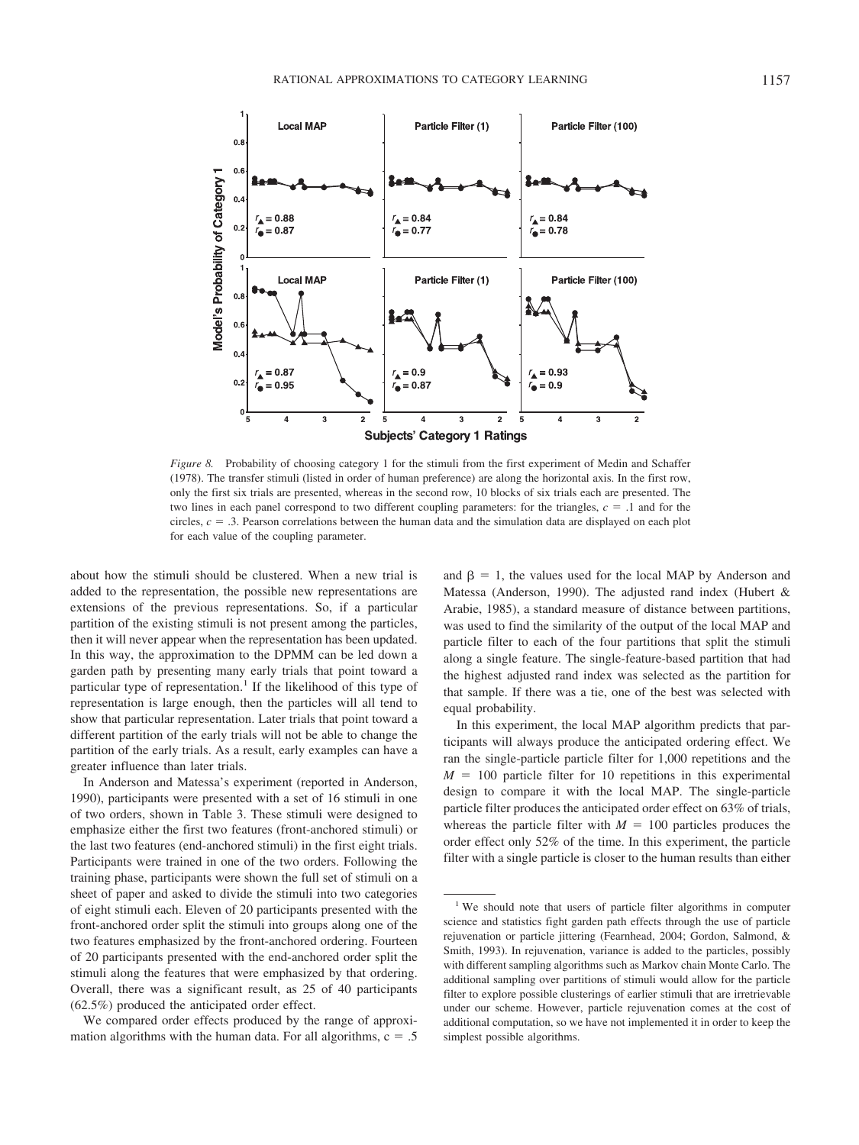**Local MAP** 

**Local MAP** 

 $= 0.88$ 

 $= 0.87$ 

 $= 0.87$  $r_{\rm A}$  $0.2$ 

 $= 0.95$ 

 $r_{\bullet}$ 

 $0.8$ 

 $0.6$  $0.4$ 

 $0.2$ 

 $\mathbf{0}$ 

 $0.8$  $0.0$ 

 $0.4$ 

Model's Probability of Category 1



 $r_{\triangle} = 0.93$ 

 $r_{\bullet} = 0.9$ 

O.  $\overline{\mathbf{3}}$  $\overline{2}$  $\overline{a}$  $\overline{2}$ 5  $\overline{a}$ 3  $\overline{\mathbf{c}}$  $\overline{a}$  $\overline{\mathbf{3}}$ **Subjects' Category 1 Ratings** *Figure 8.* Probability of choosing category 1 for the stimuli from the first experiment of Medin and Schaffer (1978). The transfer stimuli (listed in order of human preference) are along the horizontal axis. In the first row, only the first six trials are presented, whereas in the second row, 10 blocks of six trials each are presented. The two lines in each panel correspond to two different coupling parameters: for the triangles,  $c = 0.1$  and for the circles,  $c = 0.3$ . Pearson correlations between the human data and the simulation data are displayed on each plot for each value of the coupling parameter.

 $r_{\rm A} = 0.9$ 

 $r_{\bullet}$ 

 $= 0.87$ 

about how the stimuli should be clustered. When a new trial is added to the representation, the possible new representations are extensions of the previous representations. So, if a particular partition of the existing stimuli is not present among the particles, then it will never appear when the representation has been updated. In this way, the approximation to the DPMM can be led down a garden path by presenting many early trials that point toward a particular type of representation.<sup>1</sup> If the likelihood of this type of representation is large enough, then the particles will all tend to show that particular representation. Later trials that point toward a different partition of the early trials will not be able to change the partition of the early trials. As a result, early examples can have a greater influence than later trials.

In Anderson and Matessa's experiment (reported in Anderson, 1990), participants were presented with a set of 16 stimuli in one of two orders, shown in Table 3. These stimuli were designed to emphasize either the first two features (front-anchored stimuli) or the last two features (end-anchored stimuli) in the first eight trials. Participants were trained in one of the two orders. Following the training phase, participants were shown the full set of stimuli on a sheet of paper and asked to divide the stimuli into two categories of eight stimuli each. Eleven of 20 participants presented with the front-anchored order split the stimuli into groups along one of the two features emphasized by the front-anchored ordering. Fourteen of 20 participants presented with the end-anchored order split the stimuli along the features that were emphasized by that ordering. Overall, there was a significant result, as 25 of 40 participants (62.5%) produced the anticipated order effect.

We compared order effects produced by the range of approximation algorithms with the human data. For all algorithms,  $c = .5$  and  $\beta = 1$ , the values used for the local MAP by Anderson and Matessa (Anderson, 1990). The adjusted rand index (Hubert & Arabie, 1985), a standard measure of distance between partitions, was used to find the similarity of the output of the local MAP and particle filter to each of the four partitions that split the stimuli along a single feature. The single-feature-based partition that had the highest adjusted rand index was selected as the partition for that sample. If there was a tie, one of the best was selected with equal probability.

In this experiment, the local MAP algorithm predicts that participants will always produce the anticipated ordering effect. We ran the single-particle particle filter for 1,000 repetitions and the  $M = 100$  particle filter for 10 repetitions in this experimental design to compare it with the local MAP. The single-particle particle filter produces the anticipated order effect on 63% of trials, whereas the particle filter with  $M = 100$  particles produces the order effect only 52% of the time. In this experiment, the particle filter with a single particle is closer to the human results than either

<sup>&</sup>lt;sup>1</sup> We should note that users of particle filter algorithms in computer science and statistics fight garden path effects through the use of particle rejuvenation or particle jittering (Fearnhead, 2004; Gordon, Salmond, & Smith, 1993). In rejuvenation, variance is added to the particles, possibly with different sampling algorithms such as Markov chain Monte Carlo. The additional sampling over partitions of stimuli would allow for the particle filter to explore possible clusterings of earlier stimuli that are irretrievable under our scheme. However, particle rejuvenation comes at the cost of additional computation, so we have not implemented it in order to keep the simplest possible algorithms.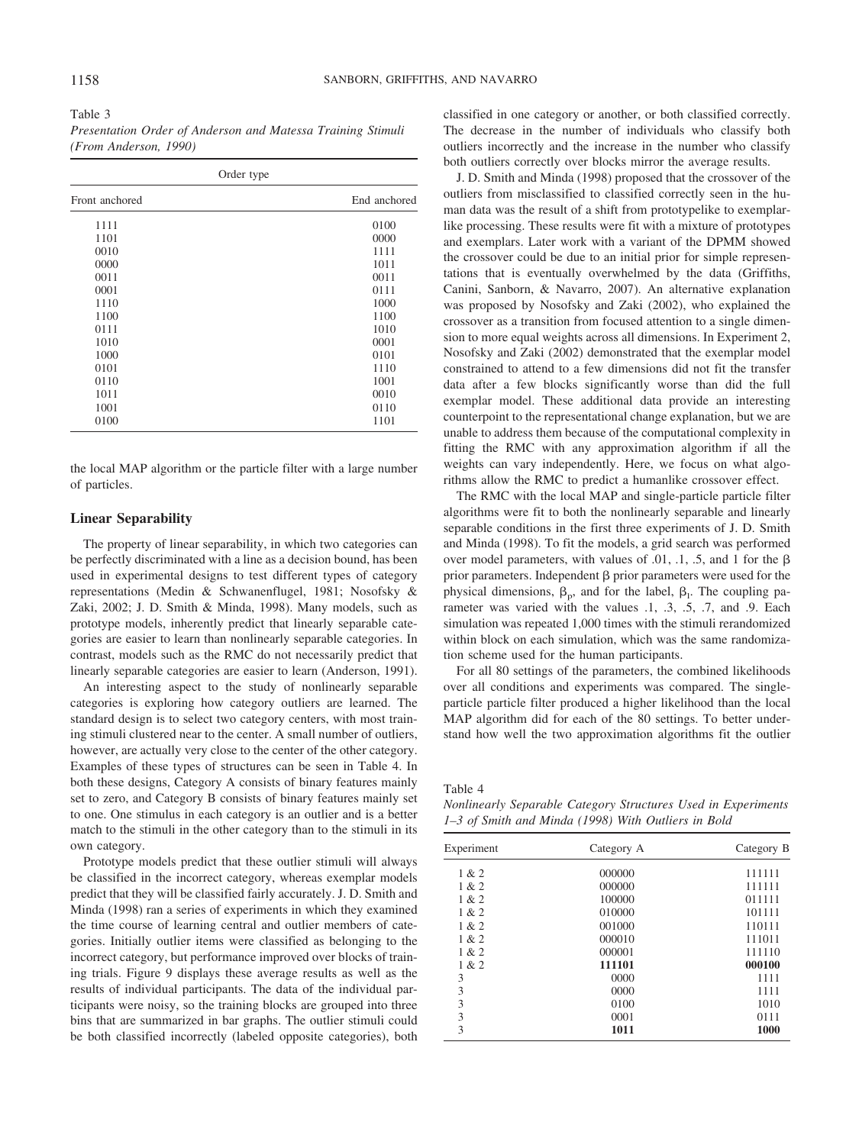Table 3

*Presentation Order of Anderson and Matessa Training Stimuli (From Anderson, 1990)*

| Order type     |              |
|----------------|--------------|
| Front anchored | End anchored |
| 1111           | 0100         |
| 1101           | 0000         |
| 0010           | 1111         |
| 0000           | 1011         |
| 0011           | 0011         |
| 0001           | 0111         |
| 1110           | 1000         |
| 1100           | 1100         |
| 0111           | 1010         |
| 1010           | 0001         |
| 1000           | 0101         |
| 0101           | 1110         |
| 0110           | 1001         |
| 1011           | 0010         |
| 1001           | 0110         |
| 0100           | 1101         |

the local MAP algorithm or the particle filter with a large number of particles.

# **Linear Separability**

The property of linear separability, in which two categories can be perfectly discriminated with a line as a decision bound, has been used in experimental designs to test different types of category representations (Medin & Schwanenflugel, 1981; Nosofsky & Zaki, 2002; J. D. Smith & Minda, 1998). Many models, such as prototype models, inherently predict that linearly separable categories are easier to learn than nonlinearly separable categories. In contrast, models such as the RMC do not necessarily predict that linearly separable categories are easier to learn (Anderson, 1991).

An interesting aspect to the study of nonlinearly separable categories is exploring how category outliers are learned. The standard design is to select two category centers, with most training stimuli clustered near to the center. A small number of outliers, however, are actually very close to the center of the other category. Examples of these types of structures can be seen in Table 4. In both these designs, Category A consists of binary features mainly set to zero, and Category B consists of binary features mainly set to one. One stimulus in each category is an outlier and is a better match to the stimuli in the other category than to the stimuli in its own category.

Prototype models predict that these outlier stimuli will always be classified in the incorrect category, whereas exemplar models predict that they will be classified fairly accurately. J. D. Smith and Minda (1998) ran a series of experiments in which they examined the time course of learning central and outlier members of categories. Initially outlier items were classified as belonging to the incorrect category, but performance improved over blocks of training trials. Figure 9 displays these average results as well as the results of individual participants. The data of the individual participants were noisy, so the training blocks are grouped into three bins that are summarized in bar graphs. The outlier stimuli could be both classified incorrectly (labeled opposite categories), both classified in one category or another, or both classified correctly. The decrease in the number of individuals who classify both outliers incorrectly and the increase in the number who classify both outliers correctly over blocks mirror the average results.

J. D. Smith and Minda (1998) proposed that the crossover of the outliers from misclassified to classified correctly seen in the human data was the result of a shift from prototypelike to exemplarlike processing. These results were fit with a mixture of prototypes and exemplars. Later work with a variant of the DPMM showed the crossover could be due to an initial prior for simple representations that is eventually overwhelmed by the data (Griffiths, Canini, Sanborn, & Navarro, 2007). An alternative explanation was proposed by Nosofsky and Zaki (2002), who explained the crossover as a transition from focused attention to a single dimension to more equal weights across all dimensions. In Experiment 2, Nosofsky and Zaki (2002) demonstrated that the exemplar model constrained to attend to a few dimensions did not fit the transfer data after a few blocks significantly worse than did the full exemplar model. These additional data provide an interesting counterpoint to the representational change explanation, but we are unable to address them because of the computational complexity in fitting the RMC with any approximation algorithm if all the weights can vary independently. Here, we focus on what algorithms allow the RMC to predict a humanlike crossover effect.

The RMC with the local MAP and single-particle particle filter algorithms were fit to both the nonlinearly separable and linearly separable conditions in the first three experiments of J. D. Smith and Minda (1998). To fit the models, a grid search was performed over model parameters, with values of  $.01, .1, .5$ , and 1 for the  $\beta$ prior parameters. Independent  $\beta$  prior parameters were used for the physical dimensions,  $\beta_p$ , and for the label,  $\beta_1$ . The coupling parameter was varied with the values .1, .3, .5, .7, and .9. Each simulation was repeated 1,000 times with the stimuli rerandomized within block on each simulation, which was the same randomization scheme used for the human participants.

For all 80 settings of the parameters, the combined likelihoods over all conditions and experiments was compared. The singleparticle particle filter produced a higher likelihood than the local MAP algorithm did for each of the 80 settings. To better understand how well the two approximation algorithms fit the outlier

Table 4

*Nonlinearly Separable Category Structures Used in Experiments 1–3 of Smith and Minda (1998) With Outliers in Bold*

| Experiment | Category A | Category B |
|------------|------------|------------|
| 1 & 2      | 000000     | 111111     |
| 1 & 2      | 000000     | 111111     |
| 1 & 2      | 100000     | 011111     |
| 1 & 2      | 010000     | 101111     |
| 1 & 2      | 001000     | 110111     |
| 1 & 2      | 000010     | 111011     |
| 1 & 2      | 000001     | 111110     |
| 1 & 2      | 111101     | 000100     |
| 3          | 0000       | 1111       |
| 3          | 0000       | 1111       |
| 3          | 0100       | 1010       |
| 3          | 0001       | 0111       |
| 3          | 1011       | 1000       |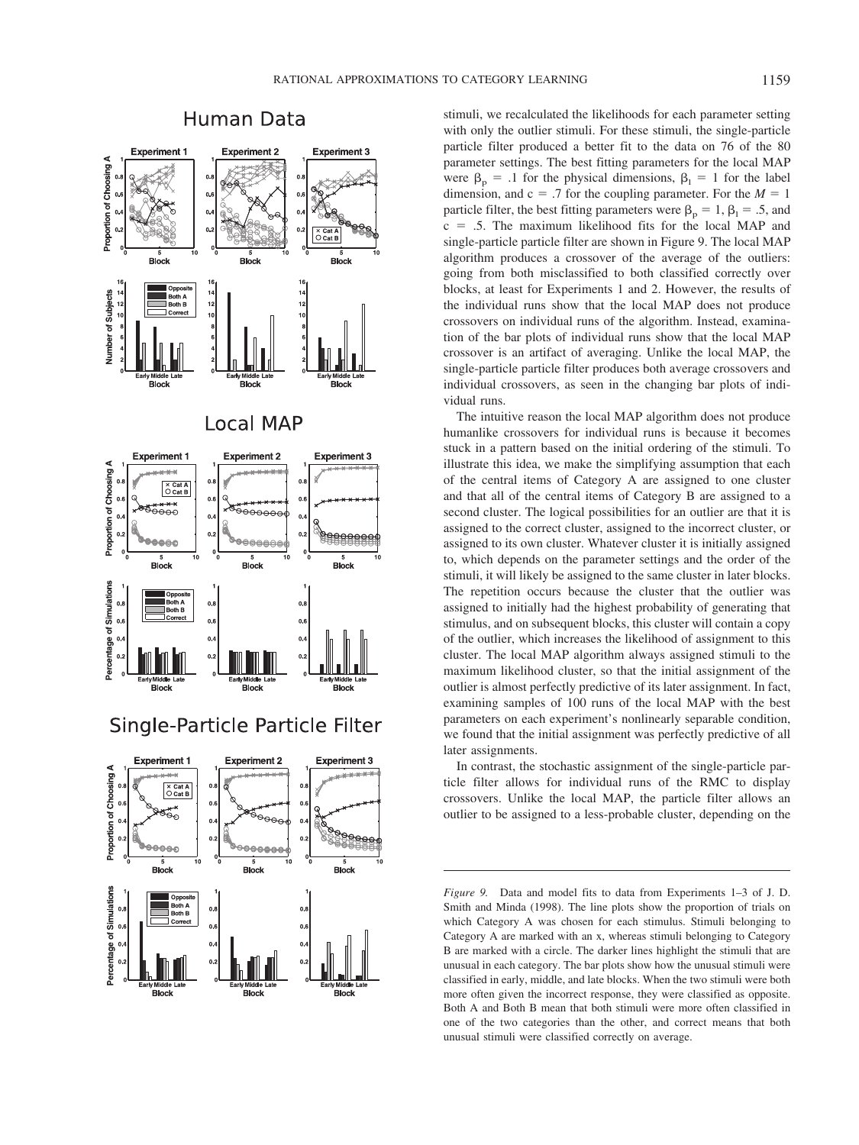

# Human Data

stimuli, we recalculated the likelihoods for each parameter setting with only the outlier stimuli. For these stimuli, the single-particle particle filter produced a better fit to the data on 76 of the 80 parameter settings. The best fitting parameters for the local MAP were  $\beta_n = 0.1$  for the physical dimensions,  $\beta_1 = 1$  for the label dimension, and  $c = .7$  for the coupling parameter. For the  $M = 1$ particle filter, the best fitting parameters were  $\beta_p = 1$ ,  $\beta_1 = .5$ , and  $c = .5$ . The maximum likelihood fits for the local MAP and single-particle particle filter are shown in Figure 9. The local MAP algorithm produces a crossover of the average of the outliers: going from both misclassified to both classified correctly over blocks, at least for Experiments 1 and 2. However, the results of the individual runs show that the local MAP does not produce crossovers on individual runs of the algorithm. Instead, examination of the bar plots of individual runs show that the local MAP crossover is an artifact of averaging. Unlike the local MAP, the single-particle particle filter produces both average crossovers and individual crossovers, as seen in the changing bar plots of individual runs.

The intuitive reason the local MAP algorithm does not produce humanlike crossovers for individual runs is because it becomes stuck in a pattern based on the initial ordering of the stimuli. To illustrate this idea, we make the simplifying assumption that each of the central items of Category A are assigned to one cluster and that all of the central items of Category B are assigned to a second cluster. The logical possibilities for an outlier are that it is assigned to the correct cluster, assigned to the incorrect cluster, or assigned to its own cluster. Whatever cluster it is initially assigned to, which depends on the parameter settings and the order of the stimuli, it will likely be assigned to the same cluster in later blocks. The repetition occurs because the cluster that the outlier was assigned to initially had the highest probability of generating that stimulus, and on subsequent blocks, this cluster will contain a copy of the outlier, which increases the likelihood of assignment to this cluster. The local MAP algorithm always assigned stimuli to the maximum likelihood cluster, so that the initial assignment of the outlier is almost perfectly predictive of its later assignment. In fact, examining samples of 100 runs of the local MAP with the best parameters on each experiment's nonlinearly separable condition, we found that the initial assignment was perfectly predictive of all later assignments.

In contrast, the stochastic assignment of the single-particle particle filter allows for individual runs of the RMC to display crossovers. Unlike the local MAP, the particle filter allows an outlier to be assigned to a less-probable cluster, depending on the

*Figure 9.* Data and model fits to data from Experiments 1–3 of J. D. Smith and Minda (1998). The line plots show the proportion of trials on which Category A was chosen for each stimulus. Stimuli belonging to Category A are marked with an x, whereas stimuli belonging to Category B are marked with a circle. The darker lines highlight the stimuli that are unusual in each category. The bar plots show how the unusual stimuli were classified in early, middle, and late blocks. When the two stimuli were both more often given the incorrect response, they were classified as opposite. Both A and Both B mean that both stimuli were more often classified in one of the two categories than the other, and correct means that both unusual stimuli were classified correctly on average.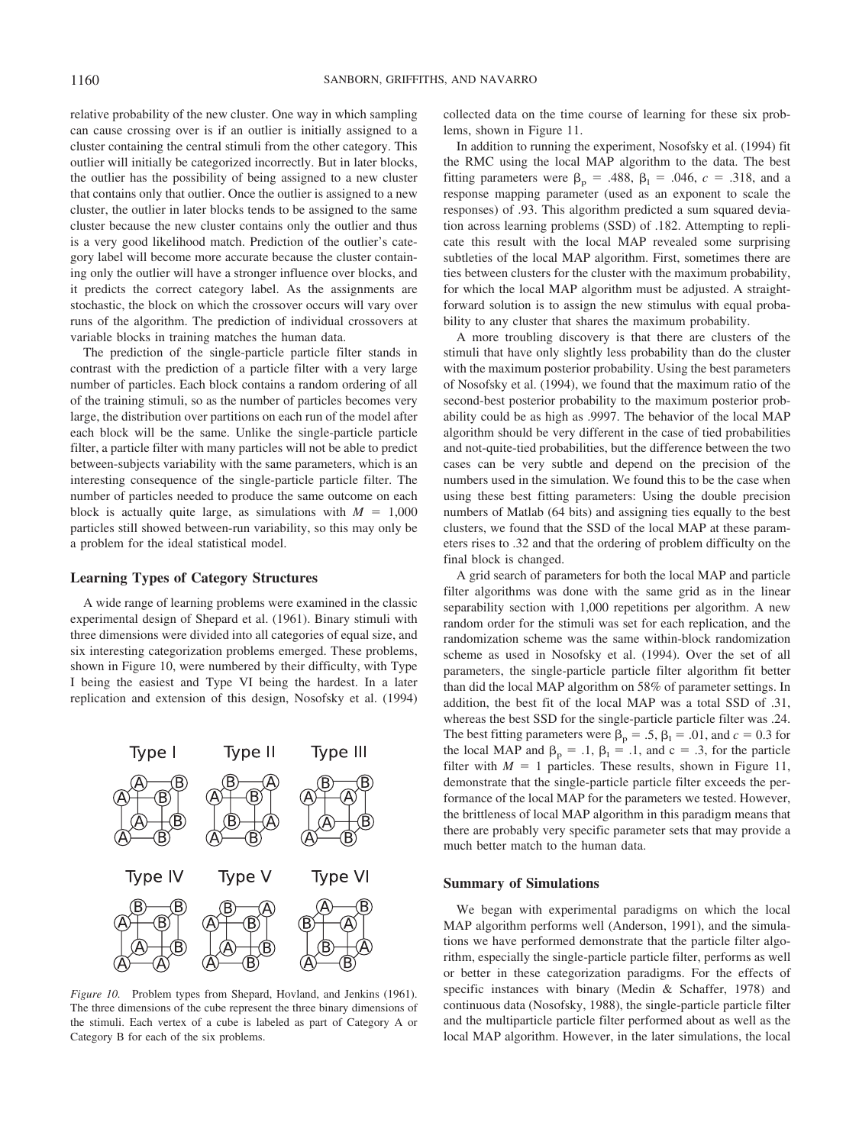relative probability of the new cluster. One way in which sampling can cause crossing over is if an outlier is initially assigned to a cluster containing the central stimuli from the other category. This outlier will initially be categorized incorrectly. But in later blocks, the outlier has the possibility of being assigned to a new cluster that contains only that outlier. Once the outlier is assigned to a new cluster, the outlier in later blocks tends to be assigned to the same cluster because the new cluster contains only the outlier and thus is a very good likelihood match. Prediction of the outlier's category label will become more accurate because the cluster containing only the outlier will have a stronger influence over blocks, and it predicts the correct category label. As the assignments are stochastic, the block on which the crossover occurs will vary over runs of the algorithm. The prediction of individual crossovers at variable blocks in training matches the human data.

The prediction of the single-particle particle filter stands in contrast with the prediction of a particle filter with a very large number of particles. Each block contains a random ordering of all of the training stimuli, so as the number of particles becomes very large, the distribution over partitions on each run of the model after each block will be the same. Unlike the single-particle particle filter, a particle filter with many particles will not be able to predict between-subjects variability with the same parameters, which is an interesting consequence of the single-particle particle filter. The number of particles needed to produce the same outcome on each block is actually quite large, as simulations with  $M = 1,000$ particles still showed between-run variability, so this may only be a problem for the ideal statistical model.

#### **Learning Types of Category Structures**

A wide range of learning problems were examined in the classic experimental design of Shepard et al. (1961). Binary stimuli with three dimensions were divided into all categories of equal size, and six interesting categorization problems emerged. These problems, shown in Figure 10, were numbered by their difficulty, with Type I being the easiest and Type VI being the hardest. In a later replication and extension of this design, Nosofsky et al. (1994)



*Figure 10.* Problem types from Shepard, Hovland, and Jenkins (1961). The three dimensions of the cube represent the three binary dimensions of the stimuli. Each vertex of a cube is labeled as part of Category A or Category B for each of the six problems.

collected data on the time course of learning for these six problems, shown in Figure 11.

In addition to running the experiment, Nosofsky et al. (1994) fit the RMC using the local MAP algorithm to the data. The best fitting parameters were  $\beta_p = .488$ ,  $\beta_1 = .046$ ,  $c = .318$ , and a response mapping parameter (used as an exponent to scale the responses) of .93. This algorithm predicted a sum squared deviation across learning problems (SSD) of .182. Attempting to replicate this result with the local MAP revealed some surprising subtleties of the local MAP algorithm. First, sometimes there are ties between clusters for the cluster with the maximum probability, for which the local MAP algorithm must be adjusted. A straightforward solution is to assign the new stimulus with equal probability to any cluster that shares the maximum probability.

A more troubling discovery is that there are clusters of the stimuli that have only slightly less probability than do the cluster with the maximum posterior probability. Using the best parameters of Nosofsky et al. (1994), we found that the maximum ratio of the second-best posterior probability to the maximum posterior probability could be as high as .9997. The behavior of the local MAP algorithm should be very different in the case of tied probabilities and not-quite-tied probabilities, but the difference between the two cases can be very subtle and depend on the precision of the numbers used in the simulation. We found this to be the case when using these best fitting parameters: Using the double precision numbers of Matlab (64 bits) and assigning ties equally to the best clusters, we found that the SSD of the local MAP at these parameters rises to .32 and that the ordering of problem difficulty on the final block is changed.

A grid search of parameters for both the local MAP and particle filter algorithms was done with the same grid as in the linear separability section with 1,000 repetitions per algorithm. A new random order for the stimuli was set for each replication, and the randomization scheme was the same within-block randomization scheme as used in Nosofsky et al. (1994). Over the set of all parameters, the single-particle particle filter algorithm fit better than did the local MAP algorithm on 58% of parameter settings. In addition, the best fit of the local MAP was a total SSD of .31, whereas the best SSD for the single-particle particle filter was .24. The best fitting parameters were  $\beta_p = .5$ ,  $\beta_1 = .01$ , and  $c = 0.3$  for the local MAP and  $\beta_p = .1$ ,  $\beta_1 = .1$ , and  $c = .3$ , for the particle filter with  $M = 1$  particles. These results, shown in Figure 11, demonstrate that the single-particle particle filter exceeds the performance of the local MAP for the parameters we tested. However, the brittleness of local MAP algorithm in this paradigm means that there are probably very specific parameter sets that may provide a much better match to the human data.

# **Summary of Simulations**

We began with experimental paradigms on which the local MAP algorithm performs well (Anderson, 1991), and the simulations we have performed demonstrate that the particle filter algorithm, especially the single-particle particle filter, performs as well or better in these categorization paradigms. For the effects of specific instances with binary (Medin & Schaffer, 1978) and continuous data (Nosofsky, 1988), the single-particle particle filter and the multiparticle particle filter performed about as well as the local MAP algorithm. However, in the later simulations, the local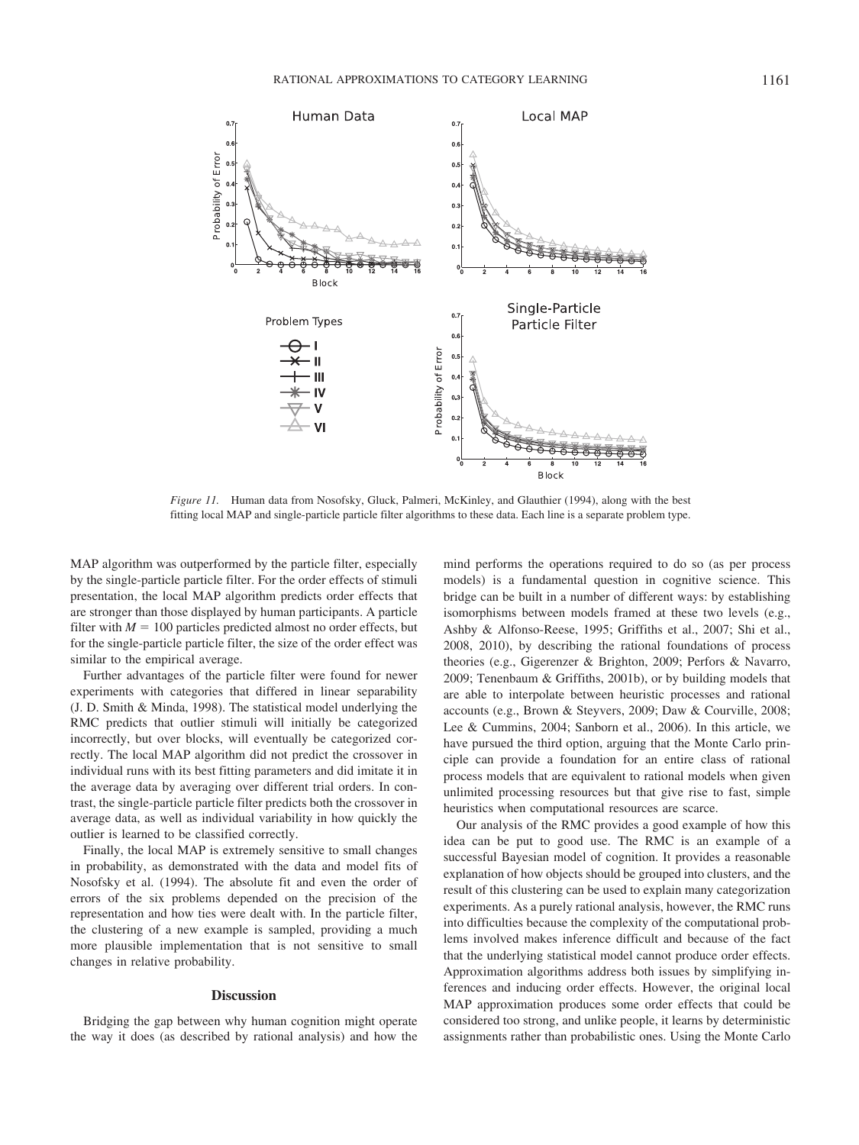

*Figure 11.* Human data from Nosofsky, Gluck, Palmeri, McKinley, and Glauthier (1994), along with the best fitting local MAP and single-particle particle filter algorithms to these data. Each line is a separate problem type.

MAP algorithm was outperformed by the particle filter, especially by the single-particle particle filter. For the order effects of stimuli presentation, the local MAP algorithm predicts order effects that are stronger than those displayed by human participants. A particle filter with  $M = 100$  particles predicted almost no order effects, but for the single-particle particle filter, the size of the order effect was similar to the empirical average.

Further advantages of the particle filter were found for newer experiments with categories that differed in linear separability (J. D. Smith & Minda, 1998). The statistical model underlying the RMC predicts that outlier stimuli will initially be categorized incorrectly, but over blocks, will eventually be categorized correctly. The local MAP algorithm did not predict the crossover in individual runs with its best fitting parameters and did imitate it in the average data by averaging over different trial orders. In contrast, the single-particle particle filter predicts both the crossover in average data, as well as individual variability in how quickly the outlier is learned to be classified correctly.

Finally, the local MAP is extremely sensitive to small changes in probability, as demonstrated with the data and model fits of Nosofsky et al. (1994). The absolute fit and even the order of errors of the six problems depended on the precision of the representation and how ties were dealt with. In the particle filter, the clustering of a new example is sampled, providing a much more plausible implementation that is not sensitive to small changes in relative probability.

#### **Discussion**

Bridging the gap between why human cognition might operate the way it does (as described by rational analysis) and how the mind performs the operations required to do so (as per process models) is a fundamental question in cognitive science. This bridge can be built in a number of different ways: by establishing isomorphisms between models framed at these two levels (e.g., Ashby & Alfonso-Reese, 1995; Griffiths et al., 2007; Shi et al., 2008, 2010), by describing the rational foundations of process theories (e.g., Gigerenzer & Brighton, 2009; Perfors & Navarro, 2009; Tenenbaum & Griffiths, 2001b), or by building models that are able to interpolate between heuristic processes and rational accounts (e.g., Brown & Steyvers, 2009; Daw & Courville, 2008; Lee & Cummins, 2004; Sanborn et al., 2006). In this article, we have pursued the third option, arguing that the Monte Carlo principle can provide a foundation for an entire class of rational process models that are equivalent to rational models when given unlimited processing resources but that give rise to fast, simple heuristics when computational resources are scarce.

Our analysis of the RMC provides a good example of how this idea can be put to good use. The RMC is an example of a successful Bayesian model of cognition. It provides a reasonable explanation of how objects should be grouped into clusters, and the result of this clustering can be used to explain many categorization experiments. As a purely rational analysis, however, the RMC runs into difficulties because the complexity of the computational problems involved makes inference difficult and because of the fact that the underlying statistical model cannot produce order effects. Approximation algorithms address both issues by simplifying inferences and inducing order effects. However, the original local MAP approximation produces some order effects that could be considered too strong, and unlike people, it learns by deterministic assignments rather than probabilistic ones. Using the Monte Carlo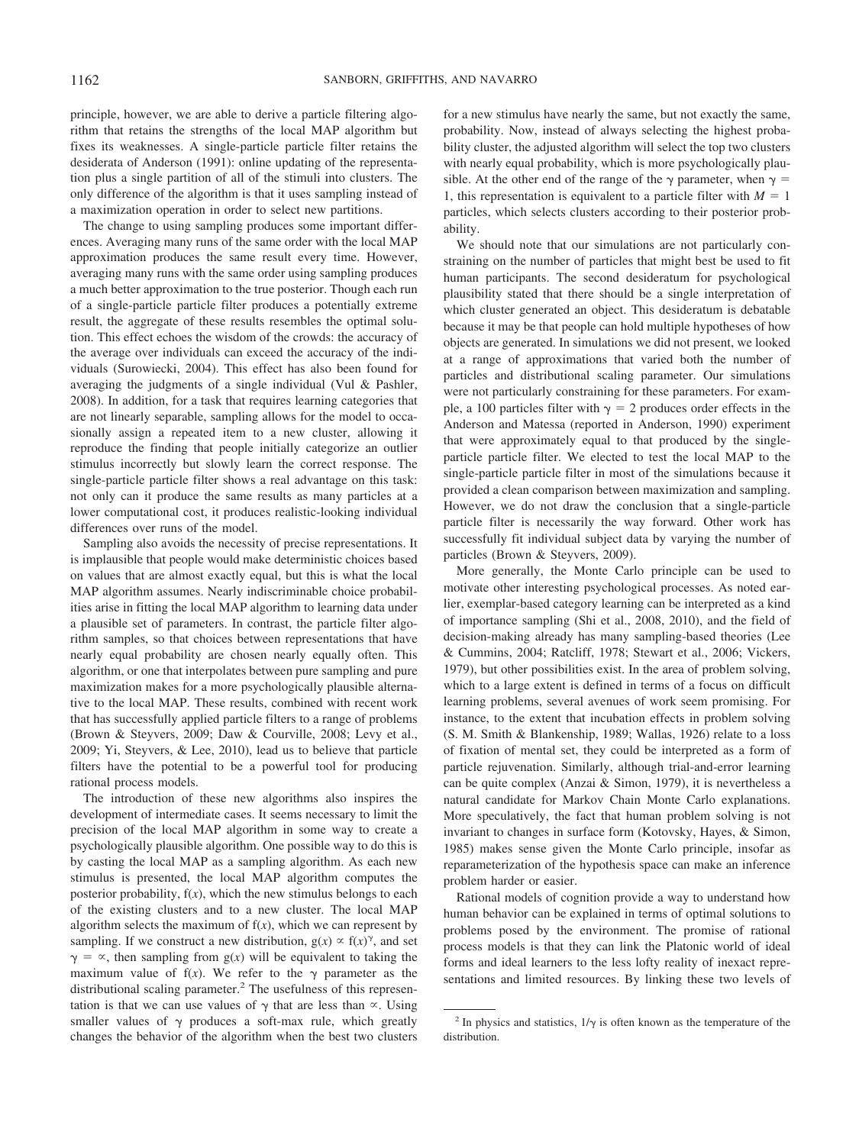principle, however, we are able to derive a particle filtering algorithm that retains the strengths of the local MAP algorithm but fixes its weaknesses. A single-particle particle filter retains the desiderata of Anderson (1991): online updating of the representation plus a single partition of all of the stimuli into clusters. The only difference of the algorithm is that it uses sampling instead of a maximization operation in order to select new partitions.

The change to using sampling produces some important differences. Averaging many runs of the same order with the local MAP approximation produces the same result every time. However, averaging many runs with the same order using sampling produces a much better approximation to the true posterior. Though each run of a single-particle particle filter produces a potentially extreme result, the aggregate of these results resembles the optimal solution. This effect echoes the wisdom of the crowds: the accuracy of the average over individuals can exceed the accuracy of the individuals (Surowiecki, 2004). This effect has also been found for averaging the judgments of a single individual (Vul & Pashler, 2008). In addition, for a task that requires learning categories that are not linearly separable, sampling allows for the model to occasionally assign a repeated item to a new cluster, allowing it reproduce the finding that people initially categorize an outlier stimulus incorrectly but slowly learn the correct response. The single-particle particle filter shows a real advantage on this task: not only can it produce the same results as many particles at a lower computational cost, it produces realistic-looking individual differences over runs of the model.

Sampling also avoids the necessity of precise representations. It is implausible that people would make deterministic choices based on values that are almost exactly equal, but this is what the local MAP algorithm assumes. Nearly indiscriminable choice probabilities arise in fitting the local MAP algorithm to learning data under a plausible set of parameters. In contrast, the particle filter algorithm samples, so that choices between representations that have nearly equal probability are chosen nearly equally often. This algorithm, or one that interpolates between pure sampling and pure maximization makes for a more psychologically plausible alternative to the local MAP. These results, combined with recent work that has successfully applied particle filters to a range of problems (Brown & Steyvers, 2009; Daw & Courville, 2008; Levy et al., 2009; Yi, Steyvers, & Lee, 2010), lead us to believe that particle filters have the potential to be a powerful tool for producing rational process models.

The introduction of these new algorithms also inspires the development of intermediate cases. It seems necessary to limit the precision of the local MAP algorithm in some way to create a psychologically plausible algorithm. One possible way to do this is by casting the local MAP as a sampling algorithm. As each new stimulus is presented, the local MAP algorithm computes the posterior probability,  $f(x)$ , which the new stimulus belongs to each of the existing clusters and to a new cluster. The local MAP algorithm selects the maximum of  $f(x)$ , which we can represent by sampling. If we construct a new distribution,  $g(x) \propto f(x)^{\gamma}$ , and set  $\gamma = \infty$ , then sampling from  $g(x)$  will be equivalent to taking the maximum value of  $f(x)$ . We refer to the  $\gamma$  parameter as the distributional scaling parameter.<sup>2</sup> The usefulness of this representation is that we can use values of  $\gamma$  that are less than  $\alpha$ . Using smaller values of  $\gamma$  produces a soft-max rule, which greatly changes the behavior of the algorithm when the best two clusters for a new stimulus have nearly the same, but not exactly the same, probability. Now, instead of always selecting the highest probability cluster, the adjusted algorithm will select the top two clusters with nearly equal probability, which is more psychologically plausible. At the other end of the range of the  $\gamma$  parameter, when  $\gamma$  = 1, this representation is equivalent to a particle filter with  $M = 1$ particles, which selects clusters according to their posterior probability.

We should note that our simulations are not particularly constraining on the number of particles that might best be used to fit human participants. The second desideratum for psychological plausibility stated that there should be a single interpretation of which cluster generated an object. This desideratum is debatable because it may be that people can hold multiple hypotheses of how objects are generated. In simulations we did not present, we looked at a range of approximations that varied both the number of particles and distributional scaling parameter. Our simulations were not particularly constraining for these parameters. For example, a 100 particles filter with  $\gamma = 2$  produces order effects in the Anderson and Matessa (reported in Anderson, 1990) experiment that were approximately equal to that produced by the singleparticle particle filter. We elected to test the local MAP to the single-particle particle filter in most of the simulations because it provided a clean comparison between maximization and sampling. However, we do not draw the conclusion that a single-particle particle filter is necessarily the way forward. Other work has successfully fit individual subject data by varying the number of particles (Brown & Steyvers, 2009).

More generally, the Monte Carlo principle can be used to motivate other interesting psychological processes. As noted earlier, exemplar-based category learning can be interpreted as a kind of importance sampling (Shi et al., 2008, 2010), and the field of decision-making already has many sampling-based theories (Lee & Cummins, 2004; Ratcliff, 1978; Stewart et al., 2006; Vickers, 1979), but other possibilities exist. In the area of problem solving, which to a large extent is defined in terms of a focus on difficult learning problems, several avenues of work seem promising. For instance, to the extent that incubation effects in problem solving (S. M. Smith & Blankenship, 1989; Wallas, 1926) relate to a loss of fixation of mental set, they could be interpreted as a form of particle rejuvenation. Similarly, although trial-and-error learning can be quite complex (Anzai & Simon, 1979), it is nevertheless a natural candidate for Markov Chain Monte Carlo explanations. More speculatively, the fact that human problem solving is not invariant to changes in surface form (Kotovsky, Hayes, & Simon, 1985) makes sense given the Monte Carlo principle, insofar as reparameterization of the hypothesis space can make an inference problem harder or easier.

Rational models of cognition provide a way to understand how human behavior can be explained in terms of optimal solutions to problems posed by the environment. The promise of rational process models is that they can link the Platonic world of ideal forms and ideal learners to the less lofty reality of inexact representations and limited resources. By linking these two levels of

<sup>&</sup>lt;sup>2</sup> In physics and statistics,  $1/\gamma$  is often known as the temperature of the distribution.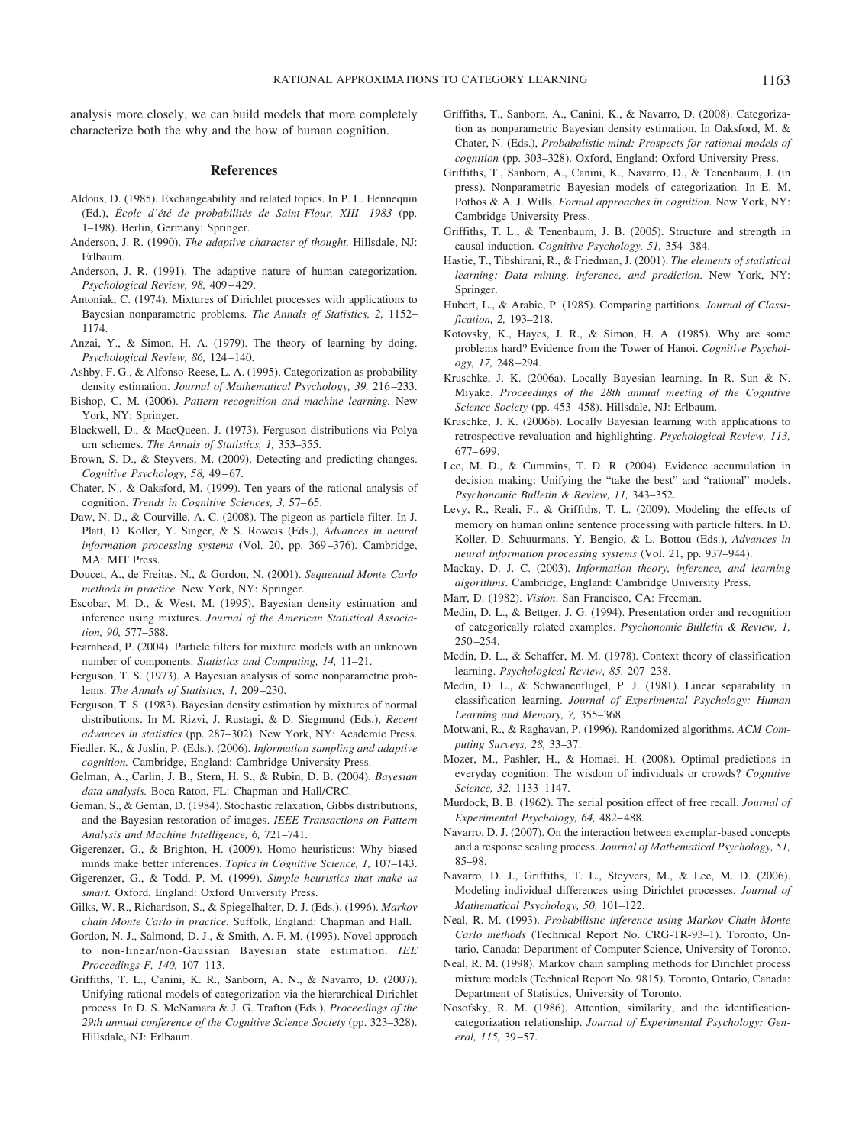analysis more closely, we can build models that more completely characterize both the why and the how of human cognition.

#### **References**

- Aldous, D. (1985). Exchangeability and related topics. In P. L. Hennequin (Ed.), *E´ cole d'e´te´ de probabilite´s de Saint-Flour, XIII—1983* (pp. 1–198). Berlin, Germany: Springer.
- Anderson, J. R. (1990). *The adaptive character of thought.* Hillsdale, NJ: Erlbaum.
- Anderson, J. R. (1991). The adaptive nature of human categorization. *Psychological Review, 98,* 409–429.
- Antoniak, C. (1974). Mixtures of Dirichlet processes with applications to Bayesian nonparametric problems. *The Annals of Statistics, 2,* 1152– 1174.
- Anzai, Y., & Simon, H. A. (1979). The theory of learning by doing. *Psychological Review, 86,* 124–140.
- Ashby, F. G., & Alfonso-Reese, L. A. (1995). Categorization as probability density estimation. *Journal of Mathematical Psychology, 39,* 216–233.
- Bishop, C. M. (2006). *Pattern recognition and machine learning.* New York, NY: Springer.
- Blackwell, D., & MacQueen, J. (1973). Ferguson distributions via Polya urn schemes. *The Annals of Statistics, 1,* 353–355.
- Brown, S. D., & Steyvers, M. (2009). Detecting and predicting changes. *Cognitive Psychology, 58,* 49–67.
- Chater, N., & Oaksford, M. (1999). Ten years of the rational analysis of cognition. *Trends in Cognitive Sciences, 3,* 57–65.
- Daw, N. D., & Courville, A. C. (2008). The pigeon as particle filter. In J. Platt, D. Koller, Y. Singer, & S. Roweis (Eds.), *Advances in neural information processing systems* (Vol. 20, pp. 369–376). Cambridge, MA: MIT Press.
- Doucet, A., de Freitas, N., & Gordon, N. (2001). *Sequential Monte Carlo methods in practice.* New York, NY: Springer.
- Escobar, M. D., & West, M. (1995). Bayesian density estimation and inference using mixtures. *Journal of the American Statistical Association, 90,* 577–588.
- Fearnhead, P. (2004). Particle filters for mixture models with an unknown number of components. *Statistics and Computing, 14,* 11–21.
- Ferguson, T. S. (1973). A Bayesian analysis of some nonparametric problems. *The Annals of Statistics, 1,* 209–230.
- Ferguson, T. S. (1983). Bayesian density estimation by mixtures of normal distributions. In M. Rizvi, J. Rustagi, & D. Siegmund (Eds.), *Recent advances in statistics* (pp. 287–302). New York, NY: Academic Press.
- Fiedler, K., & Juslin, P. (Eds.). (2006). *Information sampling and adaptive cognition.* Cambridge, England: Cambridge University Press.
- Gelman, A., Carlin, J. B., Stern, H. S., & Rubin, D. B. (2004). *Bayesian data analysis.* Boca Raton, FL: Chapman and Hall/CRC.
- Geman, S., & Geman, D. (1984). Stochastic relaxation, Gibbs distributions, and the Bayesian restoration of images. *IEEE Transactions on Pattern Analysis and Machine Intelligence, 6,* 721–741.
- Gigerenzer, G., & Brighton, H. (2009). Homo heuristicus: Why biased minds make better inferences. *Topics in Cognitive Science, 1,* 107–143.
- Gigerenzer, G., & Todd, P. M. (1999). *Simple heuristics that make us smart.* Oxford, England: Oxford University Press.
- Gilks, W. R., Richardson, S., & Spiegelhalter, D. J. (Eds.). (1996). *Markov chain Monte Carlo in practice.* Suffolk, England: Chapman and Hall.
- Gordon, N. J., Salmond, D. J., & Smith, A. F. M. (1993). Novel approach to non-linear/non-Gaussian Bayesian state estimation. *IEE Proceedings-F, 140,* 107–113.
- Griffiths, T. L., Canini, K. R., Sanborn, A. N., & Navarro, D. (2007). Unifying rational models of categorization via the hierarchical Dirichlet process. In D. S. McNamara & J. G. Trafton (Eds.), *Proceedings of the 29th annual conference of the Cognitive Science Society* (pp. 323–328). Hillsdale, NJ: Erlbaum.
- Griffiths, T., Sanborn, A., Canini, K., & Navarro, D. (2008). Categorization as nonparametric Bayesian density estimation. In Oaksford, M. & Chater, N. (Eds.), *Probabalistic mind: Prospects for rational models of cognition* (pp. 303–328). Oxford, England: Oxford University Press.
- Griffiths, T., Sanborn, A., Canini, K., Navarro, D., & Tenenbaum, J. (in press). Nonparametric Bayesian models of categorization. In E. M. Pothos & A. J. Wills, *Formal approaches in cognition.* New York, NY: Cambridge University Press.
- Griffiths, T. L., & Tenenbaum, J. B. (2005). Structure and strength in causal induction. *Cognitive Psychology, 51,* 354–384.
- Hastie, T., Tibshirani, R., & Friedman, J. (2001). *The elements of statistical learning: Data mining, inference, and prediction*. New York, NY: Springer.
- Hubert, L., & Arabie, P. (1985). Comparing partitions. *Journal of Classification, 2,* 193–218.
- Kotovsky, K., Hayes, J. R., & Simon, H. A. (1985). Why are some problems hard? Evidence from the Tower of Hanoi. *Cognitive Psychology, 17,* 248–294.
- Kruschke, J. K. (2006a). Locally Bayesian learning. In R. Sun & N. Miyake, *Proceedings of the 28th annual meeting of the Cognitive Science Society* (pp. 453–458). Hillsdale, NJ: Erlbaum.
- Kruschke, J. K. (2006b). Locally Bayesian learning with applications to retrospective revaluation and highlighting. *Psychological Review, 113,* 677–699.
- Lee, M. D., & Cummins, T. D. R. (2004). Evidence accumulation in decision making: Unifying the "take the best" and "rational" models. *Psychonomic Bulletin & Review, 11,* 343–352.
- Levy, R., Reali, F., & Griffiths, T. L. (2009). Modeling the effects of memory on human online sentence processing with particle filters. In D. Koller, D. Schuurmans, Y. Bengio, & L. Bottou (Eds.), *Advances in neural information processing systems* (Vol. 21, pp. 937–944).
- Mackay, D. J. C. (2003). *Information theory, inference, and learning algorithms*. Cambridge, England: Cambridge University Press.
- Marr, D. (1982). *Vision*. San Francisco, CA: Freeman.
- Medin, D. L., & Bettger, J. G. (1994). Presentation order and recognition of categorically related examples. *Psychonomic Bulletin & Review, 1,* 250–254.
- Medin, D. L., & Schaffer, M. M. (1978). Context theory of classification learning. *Psychological Review, 85,* 207–238.
- Medin, D. L., & Schwanenflugel, P. J. (1981). Linear separability in classification learning. *Journal of Experimental Psychology: Human Learning and Memory, 7,* 355–368.
- Motwani, R., & Raghavan, P. (1996). Randomized algorithms. *ACM Computing Surveys, 28,* 33–37.
- Mozer, M., Pashler, H., & Homaei, H. (2008). Optimal predictions in everyday cognition: The wisdom of individuals or crowds? *Cognitive Science, 32,* 1133–1147.
- Murdock, B. B. (1962). The serial position effect of free recall. *Journal of Experimental Psychology, 64,* 482–488.
- Navarro, D. J. (2007). On the interaction between exemplar-based concepts and a response scaling process. *Journal of Mathematical Psychology, 51,* 85–98.
- Navarro, D. J., Griffiths, T. L., Steyvers, M., & Lee, M. D. (2006). Modeling individual differences using Dirichlet processes. *Journal of Mathematical Psychology, 50,* 101–122.
- Neal, R. M. (1993). *Probabilistic inference using Markov Chain Monte Carlo methods* (Technical Report No. CRG-TR-93–1). Toronto, Ontario, Canada: Department of Computer Science, University of Toronto.
- Neal, R. M. (1998). Markov chain sampling methods for Dirichlet process mixture models (Technical Report No. 9815). Toronto, Ontario, Canada: Department of Statistics, University of Toronto.
- Nosofsky, R. M. (1986). Attention, similarity, and the identificationcategorization relationship. *Journal of Experimental Psychology: General, 115,* 39–57.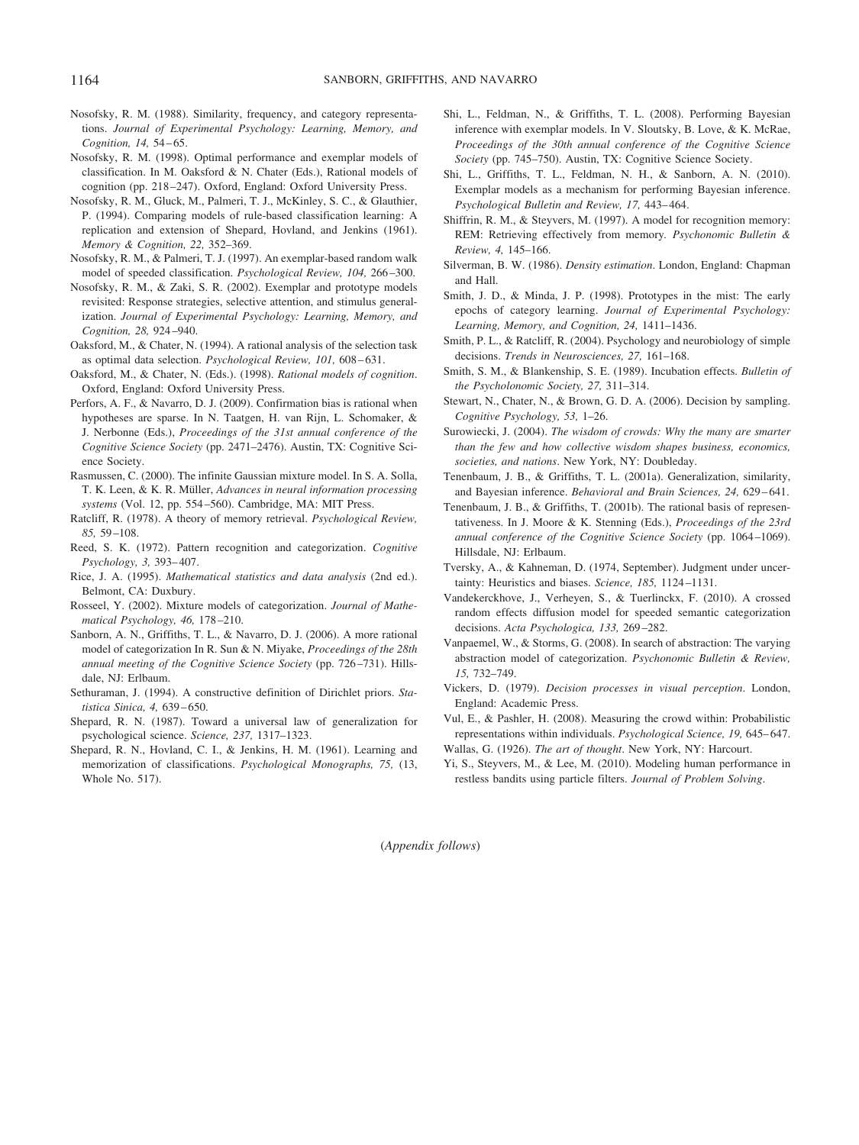- Nosofsky, R. M. (1988). Similarity, frequency, and category representations. *Journal of Experimental Psychology: Learning, Memory, and Cognition, 14,* 54–65.
- Nosofsky, R. M. (1998). Optimal performance and exemplar models of classification. In M. Oaksford & N. Chater (Eds.), Rational models of cognition (pp. 218–247). Oxford, England: Oxford University Press.
- Nosofsky, R. M., Gluck, M., Palmeri, T. J., McKinley, S. C., & Glauthier, P. (1994). Comparing models of rule-based classification learning: A replication and extension of Shepard, Hovland, and Jenkins (1961). *Memory & Cognition, 22,* 352–369.
- Nosofsky, R. M., & Palmeri, T. J. (1997). An exemplar-based random walk model of speeded classification. *Psychological Review, 104,* 266–300.
- Nosofsky, R. M., & Zaki, S. R. (2002). Exemplar and prototype models revisited: Response strategies, selective attention, and stimulus generalization. *Journal of Experimental Psychology: Learning, Memory, and Cognition, 28,* 924–940.
- Oaksford, M., & Chater, N. (1994). A rational analysis of the selection task as optimal data selection. *Psychological Review, 101,* 608–631.
- Oaksford, M., & Chater, N. (Eds.). (1998). *Rational models of cognition*. Oxford, England: Oxford University Press.
- Perfors, A. F., & Navarro, D. J. (2009). Confirmation bias is rational when hypotheses are sparse. In N. Taatgen, H. van Rijn, L. Schomaker, & J. Nerbonne (Eds.), *Proceedings of the 31st annual conference of the Cognitive Science Society* (pp. 2471–2476). Austin, TX: Cognitive Science Society.
- Rasmussen, C. (2000). The infinite Gaussian mixture model. In S. A. Solla, T. K. Leen, & K. R. Müller, *Advances in neural information processing systems* (Vol. 12, pp. 554–560). Cambridge, MA: MIT Press.
- Ratcliff, R. (1978). A theory of memory retrieval. *Psychological Review, 85,* 59–108.
- Reed, S. K. (1972). Pattern recognition and categorization. *Cognitive Psychology, 3,* 393–407.
- Rice, J. A. (1995). *Mathematical statistics and data analysis* (2nd ed.). Belmont, CA: Duxbury.
- Rosseel, Y. (2002). Mixture models of categorization. *Journal of Mathematical Psychology, 46,* 178–210.
- Sanborn, A. N., Griffiths, T. L., & Navarro, D. J. (2006). A more rational model of categorization In R. Sun & N. Miyake, *Proceedings of the 28th annual meeting of the Cognitive Science Society* (pp. 726–731). Hillsdale, NJ: Erlbaum.
- Sethuraman, J. (1994). A constructive definition of Dirichlet priors. *Statistica Sinica, 4,* 639–650.
- Shepard, R. N. (1987). Toward a universal law of generalization for psychological science. *Science, 237,* 1317–1323.
- Shepard, R. N., Hovland, C. I., & Jenkins, H. M. (1961). Learning and memorization of classifications. *Psychological Monographs, 75,* (13, Whole No. 517).
- Shi, L., Feldman, N., & Griffiths, T. L. (2008). Performing Bayesian inference with exemplar models. In V. Sloutsky, B. Love, & K. McRae, *Proceedings of the 30th annual conference of the Cognitive Science Society* (pp. 745–750). Austin, TX: Cognitive Science Society.
- Shi, L., Griffiths, T. L., Feldman, N. H., & Sanborn, A. N. (2010). Exemplar models as a mechanism for performing Bayesian inference. *Psychological Bulletin and Review, 17,* 443–464.
- Shiffrin, R. M., & Steyvers, M. (1997). A model for recognition memory: REM: Retrieving effectively from memory*. Psychonomic Bulletin & Review, 4,* 145–166.
- Silverman, B. W. (1986). *Density estimation*. London, England: Chapman and Hall.
- Smith, J. D., & Minda, J. P. (1998). Prototypes in the mist: The early epochs of category learning. *Journal of Experimental Psychology: Learning, Memory, and Cognition, 24,* 1411–1436.
- Smith, P. L., & Ratcliff, R. (2004). Psychology and neurobiology of simple decisions. *Trends in Neurosciences, 27,* 161–168.
- Smith, S. M., & Blankenship, S. E. (1989). Incubation effects. *Bulletin of the Psycholonomic Society, 27,* 311–314.
- Stewart, N., Chater, N., & Brown, G. D. A. (2006). Decision by sampling. *Cognitive Psychology, 53,* 1–26.
- Surowiecki, J. (2004). *The wisdom of crowds: Why the many are smarter than the few and how collective wisdom shapes business, economics, societies, and nations*. New York, NY: Doubleday.
- Tenenbaum, J. B., & Griffiths, T. L. (2001a). Generalization, similarity, and Bayesian inference. *Behavioral and Brain Sciences, 24,* 629–641.
- Tenenbaum, J. B., & Griffiths, T. (2001b). The rational basis of representativeness. In J. Moore & K. Stenning (Eds.), *Proceedings of the 23rd annual conference of the Cognitive Science Society* (pp. 1064–1069). Hillsdale, NJ: Erlbaum.
- Tversky, A., & Kahneman, D. (1974, September). Judgment under uncertainty: Heuristics and biases. *Science, 185,* 1124–1131.
- Vandekerckhove, J., Verheyen, S., & Tuerlinckx, F. (2010). A crossed random effects diffusion model for speeded semantic categorization decisions. *Acta Psychologica, 133,* 269–282.
- Vanpaemel, W., & Storms, G. (2008). In search of abstraction: The varying abstraction model of categorization. *Psychonomic Bulletin & Review, 15,* 732–749.
- Vickers, D. (1979). *Decision processes in visual perception*. London, England: Academic Press.
- Vul, E., & Pashler, H. (2008). Measuring the crowd within: Probabilistic representations within individuals. *Psychological Science, 19,* 645–647. Wallas, G. (1926). *The art of thought*. New York, NY: Harcourt.
- Yi, S., Steyvers, M., & Lee, M. (2010). Modeling human performance in restless bandits using particle filters. *Journal of Problem Solving*.

(*Appendix follows*)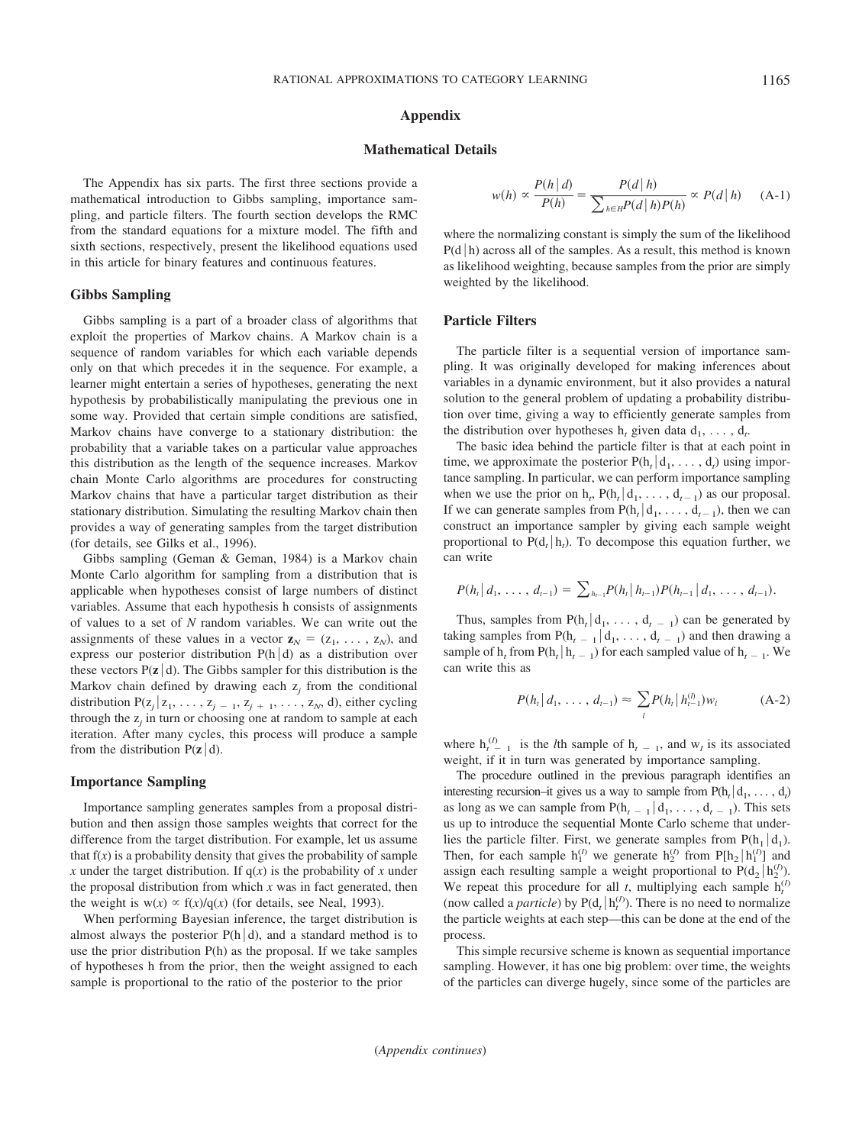#### **Appendix**

#### **Mathematical Details**

The Appendix has six parts. The first three sections provide a mathematical introduction to Gibbs sampling, importance sampling, and particle filters. The fourth section develops the RMC from the standard equations for a mixture model. The fifth and sixth sections, respectively, present the likelihood equations used in this article for binary features and continuous features.

# **Gibbs Sampling**

Gibbs sampling is a part of a broader class of algorithms that exploit the properties of Markov chains. A Markov chain is a sequence of random variables for which each variable depends only on that which precedes it in the sequence. For example, a learner might entertain a series of hypotheses, generating the next hypothesis by probabilistically manipulating the previous one in some way. Provided that certain simple conditions are satisfied, Markov chains have converge to a stationary distribution: the probability that a variable takes on a particular value approaches this distribution as the length of the sequence increases. Markov chain Monte Carlo algorithms are procedures for constructing Markov chains that have a particular target distribution as their stationary distribution. Simulating the resulting Markov chain then provides a way of generating samples from the target distribution (for details, see Gilks et al., 1996).

Gibbs sampling (Geman & Geman, 1984) is a Markov chain Monte Carlo algorithm for sampling from a distribution that is applicable when hypotheses consist of large numbers of distinct variables. Assume that each hypothesis h consists of assignments of values to a set of *N* random variables. We can write out the assignments of these values in a vector  $\mathbf{z}_N = (z_1, \ldots, z_N)$ , and express our posterior distribution  $P(h | d)$  as a distribution over these vectors  $P(z | d)$ . The Gibbs sampler for this distribution is the Markov chain defined by drawing each z<sub>i</sub> from the conditional distribution  $P(z_j | z_1, \ldots, z_{j-1}, z_{j+1}, \ldots, z_N, d)$ , either cycling through the  $z_j$  in turn or choosing one at random to sample at each iteration. After many cycles, this process will produce a sample from the distribution  $P(z | d)$ .

#### **Importance Sampling**

Importance sampling generates samples from a proposal distribution and then assign those samples weights that correct for the difference from the target distribution. For example, let us assume that  $f(x)$  is a probability density that gives the probability of sample *x* under the target distribution. If  $q(x)$  is the probability of *x* under the proposal distribution from which  $x$  was in fact generated, then the weight is  $w(x) \propto f(x)/q(x)$  (for details, see Neal, 1993).

When performing Bayesian inference, the target distribution is almost always the posterior  $P(h | d)$ , and a standard method is to use the prior distribution P(h) as the proposal. If we take samples of hypotheses h from the prior, then the weight assigned to each sample is proportional to the ratio of the posterior to the prior

$$
w(h) \propto \frac{P(h \mid d)}{P(h)} = \frac{P(d \mid h)}{\sum_{h \in H} P(d \mid h) P(h)} \propto P(d \mid h) \quad (A-1)
$$

where the normalizing constant is simply the sum of the likelihood  $P(d | h)$  across all of the samples. As a result, this method is known as likelihood weighting, because samples from the prior are simply weighted by the likelihood.

#### **Particle Filters**

The particle filter is a sequential version of importance sampling. It was originally developed for making inferences about variables in a dynamic environment, but it also provides a natural solution to the general problem of updating a probability distribution over time, giving a way to efficiently generate samples from the distribution over hypotheses  $h_t$  given data  $d_1, \ldots, d_t$ .

The basic idea behind the particle filter is that at each point in time, we approximate the posterior  $P(h_t | d_1, \ldots, d_t)$  using importance sampling. In particular, we can perform importance sampling when we use the prior on  $h_t$ ,  $P(h_t | d_1, \ldots, d_{t-1})$  as our proposal. If we can generate samples from  $P(h_t | d_1, \ldots, d_{t-1})$ , then we can construct an importance sampler by giving each sample weight proportional to  $P(d_t | h_t)$ . To decompose this equation further, we can write

$$
P(h_t | d_1, \ldots, d_{t-1}) = \sum_{h_{t-1}} P(h_t | h_{t-1}) P(h_{t-1} | d_1, \ldots, d_{t-1}).
$$

Thus, samples from  $P(h_t | d_1, \ldots, d_{t-1})$  can be generated by taking samples from  $P(h_{t-1} | d_1, \ldots, d_{t-1})$  and then drawing a sample of  $h_t$  from  $P(h_t | h_{t-1})$  for each sampled value of  $h_{t-1}$ . We can write this as

$$
P(h_t | d_1, \ldots, d_{t-1}) \approx \sum_l P(h_t | h_{t-1}^{(l)}) w_l \qquad (A-2)
$$

where  $h_t^{(l)}$  is the *l*th sample of  $h_{t-1}$ , and  $w_l$  is its associated weight, if it in turn was generated by importance sampling.

The procedure outlined in the previous paragraph identifies an interesting recursion–it gives us a way to sample from  $P(h_t | d_1, \ldots, d_t)$ as long as we can sample from  $P(h_{t-1} | d_1, \ldots, d_{t-1})$ . This sets us up to introduce the sequential Monte Carlo scheme that underlies the particle filter. First, we generate samples from  $P(h_1 | d_1)$ . Then, for each sample  $h_1^{(l)}$  we generate  $h_2^{(l)}$  from  $P[h_2 | h_1^{(l)}]$  and assign each resulting sample a weight proportional to  $P(d_2 | h_2^{(l)})$ . We repeat this procedure for all  $t$ , multiplying each sample  $h_t^{(l)}$ (now called a *particle*) by  $P(d_t | h_t^{(l)})$ . There is no need to normalize the particle weights at each step—this can be done at the end of the process.

This simple recursive scheme is known as sequential importance sampling. However, it has one big problem: over time, the weights of the particles can diverge hugely, since some of the particles are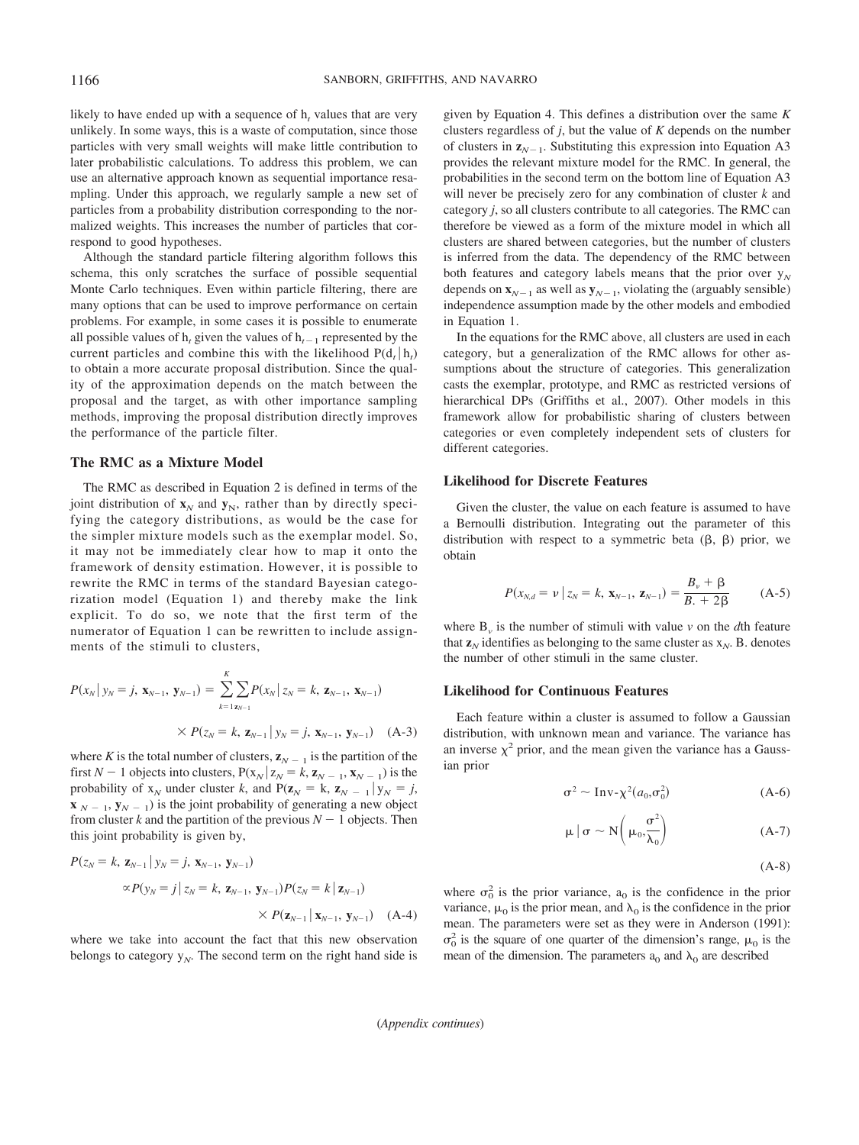likely to have ended up with a sequence of h, values that are very unlikely. In some ways, this is a waste of computation, since those particles with very small weights will make little contribution to later probabilistic calculations. To address this problem, we can use an alternative approach known as sequential importance resampling. Under this approach, we regularly sample a new set of particles from a probability distribution corresponding to the normalized weights. This increases the number of particles that correspond to good hypotheses.

Although the standard particle filtering algorithm follows this schema, this only scratches the surface of possible sequential Monte Carlo techniques. Even within particle filtering, there are many options that can be used to improve performance on certain problems. For example, in some cases it is possible to enumerate all possible values of  $h_t$  given the values of  $h_{t-1}$  represented by the current particles and combine this with the likelihood  $P(d_t | h_t)$ to obtain a more accurate proposal distribution. Since the quality of the approximation depends on the match between the proposal and the target, as with other importance sampling methods, improving the proposal distribution directly improves the performance of the particle filter.

#### **The RMC as a Mixture Model**

The RMC as described in Equation 2 is defined in terms of the joint distribution of  $\mathbf{x}_N$  and  $\mathbf{y}_N$ , rather than by directly specifying the category distributions, as would be the case for the simpler mixture models such as the exemplar model. So, it may not be immediately clear how to map it onto the framework of density estimation. However, it is possible to rewrite the RMC in terms of the standard Bayesian categorization model (Equation 1) and thereby make the link explicit. To do so, we note that the first term of the numerator of Equation 1 can be rewritten to include assignments of the stimuli to clusters,

$$
P(x_N | y_N = j, \mathbf{x}_{N-1}, \mathbf{y}_{N-1}) = \sum_{k=1}^{K} \sum_{\mathbf{z}_{N-1}} P(x_N | z_N = k, \mathbf{z}_{N-1}, \mathbf{x}_{N-1})
$$

$$
\times P(z_N = k, \mathbf{z}_{N-1} | y_N = j, \mathbf{x}_{N-1}, \mathbf{y}_{N-1}) \quad (A-3)
$$

where *K* is the total number of clusters,  $\mathbf{z}_{N-1}$  is the partition of the first *N* - 1 objects into clusters,  $P(x_N | z_N = k, z_{N-1}, x_{N-1})$  is the probability of  $x_N$  under cluster *k*, and  $P(z_N = k, z_{N-1} | y_N = j,$  $\mathbf{x}_{N-1}, \mathbf{y}_{N-1}$  is the joint probability of generating a new object from cluster  $k$  and the partition of the previous  $N - 1$  objects. Then this joint probability is given by,

$$
P(z_N = k, \mathbf{z}_{N-1} | y_N = j, \mathbf{x}_{N-1}, \mathbf{y}_{N-1})
$$
  
 
$$
\propto P(y_N = j | z_N = k, \mathbf{z}_{N-1}, \mathbf{y}_{N-1}) P(z_N = k | \mathbf{z}_{N-1})
$$
  
 
$$
\times P(\mathbf{z}_{N-1} | \mathbf{x}_{N-1}, \mathbf{y}_{N-1}) \quad (A-4)
$$

where we take into account the fact that this new observation belongs to category  $y_N$ . The second term on the right hand side is given by Equation 4. This defines a distribution over the same *K* clusters regardless of *j*, but the value of *K* depends on the number of clusters in  $z_{N-1}$ . Substituting this expression into Equation A3 provides the relevant mixture model for the RMC. In general, the probabilities in the second term on the bottom line of Equation A3 will never be precisely zero for any combination of cluster *k* and category *j*, so all clusters contribute to all categories. The RMC can therefore be viewed as a form of the mixture model in which all clusters are shared between categories, but the number of clusters is inferred from the data. The dependency of the RMC between both features and category labels means that the prior over  $y_N$ depends on  $\mathbf{x}_{N-1}$  as well as  $\mathbf{y}_{N-1}$ , violating the (arguably sensible) independence assumption made by the other models and embodied in Equation 1.

In the equations for the RMC above, all clusters are used in each category, but a generalization of the RMC allows for other assumptions about the structure of categories. This generalization casts the exemplar, prototype, and RMC as restricted versions of hierarchical DPs (Griffiths et al., 2007). Other models in this framework allow for probabilistic sharing of clusters between categories or even completely independent sets of clusters for different categories.

# **Likelihood for Discrete Features**

Given the cluster, the value on each feature is assumed to have a Bernoulli distribution. Integrating out the parameter of this distribution with respect to a symmetric beta  $(\beta, \beta)$  prior, we obtain

$$
P(x_{N,d} = \nu \mid z_N = k, \mathbf{x}_{N-1}, \mathbf{z}_{N-1}) = \frac{B_{\nu} + \beta}{B_{\nu} + 2\beta} \quad (A-5)
$$

where  $B_{\nu}$  is the number of stimuli with value  $\nu$  on the *d*th feature that  $\mathbf{z}_N$  identifies as belonging to the same cluster as  $x_N$ . B. denotes the number of other stimuli in the same cluster.

# **Likelihood for Continuous Features**

Each feature within a cluster is assumed to follow a Gaussian distribution, with unknown mean and variance. The variance has an inverse  $\chi^2$  prior, and the mean given the variance has a Gaussian prior

$$
\sigma^2 \sim \text{Inv-}\chi^2(a_0, \sigma_0^2) \tag{A-6}
$$

$$
\mu \mid \sigma \sim N\bigg(\mu_0, \frac{\sigma^2}{\lambda_0}\bigg) \tag{A-7}
$$

$$
(A-8)
$$

where  $\sigma_0^2$  is the prior variance,  $a_0$  is the confidence in the prior variance,  $\mu_0$  is the prior mean, and  $\lambda_0$  is the confidence in the prior mean. The parameters were set as they were in Anderson (1991):  $\sigma_0^2$  is the square of one quarter of the dimension's range,  $\mu_0$  is the mean of the dimension. The parameters  $a_0$  and  $\lambda_0$  are described

(*Appendix continues*)